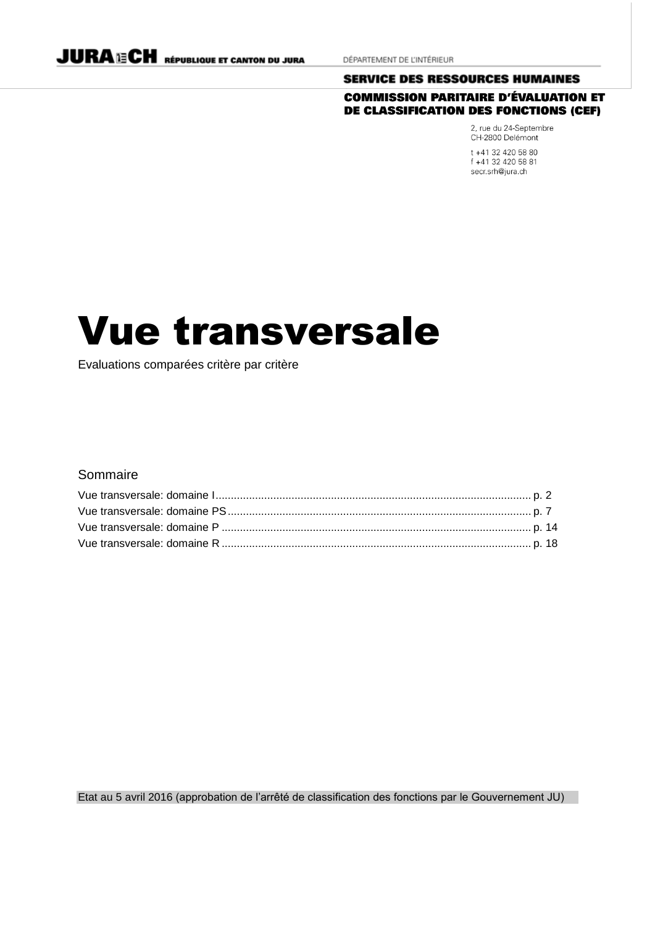DÉPARTEMENT DE L'INTÉRIEUR

#### **SERVICE DES RESSOURCES HUMAINES COMMISSION PARITAIRE D'ÉVALUATION ET DE CLASSIFICATION DES FONCTIONS (CEF)**

2, rue du 24-Septembre CH-2800 Delémont

t +41 32 420 58 80 f +41 32 420 58 81 secr.srh@jura.ch

# Vue transversale

Evaluations comparées critère par critère

#### Sommaire

#### Etat au 5 avril 2016 (approbation de l'arrêté de classification des fonctions par le Gouvernement JU)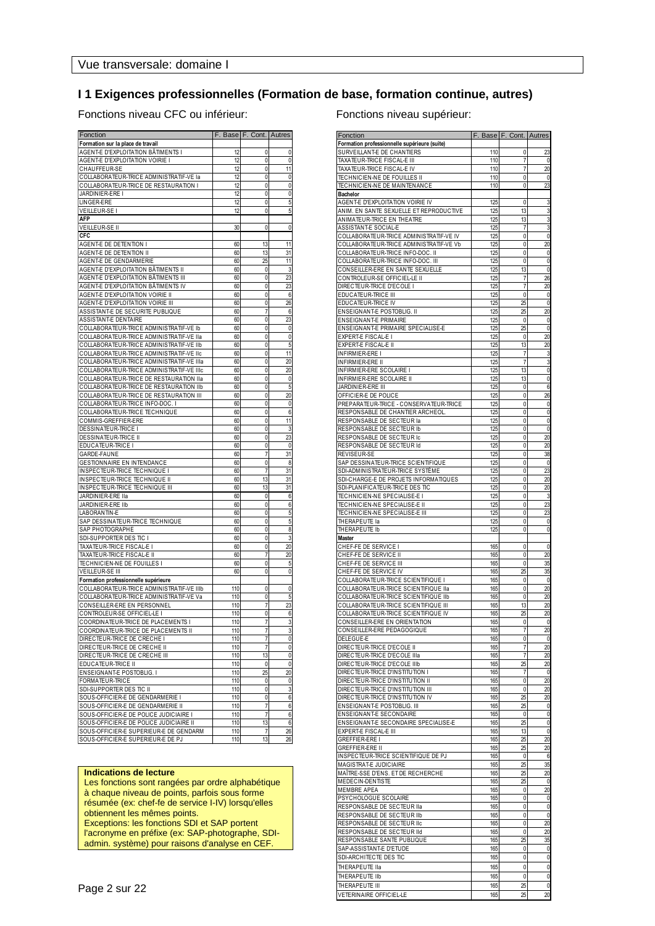#### **I 1 Exigences professionnelles (Formation de base, formation continue, autres)**

Fonctions niveau CFC ou inférieur: Fonctions niveau supérieur:

| Fonction                                                          | F.         | Base F. Cont.  | <b>Autres</b>           |
|-------------------------------------------------------------------|------------|----------------|-------------------------|
| Formation sur la place de travail                                 |            |                |                         |
| AGENT-E D'EXPLOITATION BĂTIMENTS I                                | 12         | 0              | 0                       |
| AGENT-E D'EXPLOITATION VOIRIE I                                   | 12         | 0              | 0                       |
| CHAUFFEUR-SE                                                      | 12         | 0              | 11                      |
| COLLABORATEUR-TRICE ADMINISTRATIF-VE Ia                           | 12         | 0              | 0                       |
| COLLABORATEUR-TRICE DE RESTAURATION I                             | 12         | 0              | 0                       |
| JARDINIER-ERE I                                                   | 12         | 0              | 0                       |
| LINGER-ERE                                                        | 12         | 0              | 5                       |
| VEILLEUR-SE I                                                     | 12         | 0              | 5                       |
| AFP                                                               |            |                |                         |
| VEILLEUR-SE II<br>CFC                                             | 30         | 0              | 0                       |
| AGENT-E DE DETENTION I                                            | 60         | 13             | 11                      |
| AGENT-E DE DETENTION II                                           | 60         | 13             | 31                      |
| AGENT-E DE GENDARMERIE                                            | 60         | 25             | 11                      |
| AGENT-E D'EXPLOITATION BÂTIMENTS II                               | 60         | 0              | 3                       |
| AGENT-E D'EXPLOITATION BÂTIMENTS III                              | 60         | 0              | 23                      |
| AGENT-E D'EXPLOITATION BÂTIMENTS IV                               | 60         | 0              | 23                      |
| AGENT-E D'EXPLOITATION VOIRIE II                                  | 60         | 0              | 6                       |
| AGENT-E D'EXPLOITATION VOIRIE III                                 | 60         | 0              | 26                      |
| ASSISTANT-E DE SECURITE PUBLIQUE                                  | 60         | 7              | 6                       |
| ASSISTANT-E DENTAIRE                                              | 60         | 0              | 23                      |
| COLLABORATEUR-TRICE ADMINISTRATIF-VE Ib                           | 60         | 0              | 0                       |
| COLLABORATEUR-TRICE ADMINISTRATIF-VE IIa                          | 60         | 0              | 0                       |
| COLLABORATEUR-TRICE ADMINISTRATIF-VE IIb                          | 60         | 0              | 5                       |
| COLLABORATEUR-TRICE ADMINISTRATIF-VE IIc                          | 60         | 0              | 11                      |
| COLLABORATEUR-TRICE ADMINISTRATIF-VE IIIa                         | 60         | 0              | 20                      |
| COLLABORATEUR-TRICE ADMINISTRATIF-VE IIIc                         | 60         | 0              | 20                      |
| COLLABORATEUR-TRICE DE RESTAURATION IIa                           | 60         | 0              | 0                       |
| COLLABORATEUR-TRICE DE RESTAURATION IIb                           | 60         | 0              | 5                       |
| COLLABORATEUR-TRICE DE RESTAURATION III                           | 60         | 0              | 20                      |
| COLLABORATEUR-TRICE INFO-DOC. I                                   | 60         | 0              | 0                       |
| COLLABORATEUR-TRICE TECHNIQUE                                     | 60         | 0              | 6                       |
| COMMIS-GREFFIER-ERE                                               | 60         | 0              | 11                      |
| DESSINATEUR-TRICE I                                               | 60         | 0              | 3                       |
| <b>DESSINATEUR-TRICE II</b>                                       | 60<br>60   | 0              | 23                      |
| EDUCATEUR-TRICE I<br>GARDE-FAUNE                                  | 60         | 0<br>7         | 0<br>31                 |
| GESTIONNAIRE EN INTENDANCE                                        | 60         | 0              | 8                       |
| INSPECTEUR-TRICE TECHNIQUE I                                      | 60         | 7              | 31                      |
| INSPECTEUR-TRICE TECHNIQUE II                                     | 60         | 13             | 31                      |
| INSPECTEUR-TRICE TECHNIQUE III                                    | 60         | 13             | 31                      |
| JARDINIER-ERE IIa                                                 | 60         | 0              | 6                       |
| JARDINIER-ERE IIb                                                 | 60         | 0              | 6                       |
| LABORANTIN-E                                                      | 60         | 0              | 5                       |
| SAP DESSINATEUR-TRICE TECHNIQUE                                   | 60         | 0              | 5                       |
| SAP PHOTOGRAPHE                                                   | 60         | 0              | $\overline{\mathbf{8}}$ |
| SDI-SUPPORTER DES TIC I                                           | 60         | 0              | 3                       |
| TAXATEUR-TRICE FISCAL-E I                                         | 60         | 0              | 20                      |
| TAXATEUR-TRICE FISCAL-E II                                        | 60         | 7              | 20                      |
| TECHNICIEN-NE DE FOUILLES I                                       | 60         | 0              | 5                       |
| VEILLEUR-SE III                                                   | 60         | 0              | 0                       |
| Formation professionnelle supérieure                              |            |                |                         |
| COLLABORATEUR-TRICE ADMINISTRATIF-VE IIIb                         | 110        | 0              | 0                       |
| COLLABORATEUR-TRICE ADMINISTRATIF-VE Va                           | 110        | 0              | 5                       |
| CONSEILLER-ERE EN PERSONNEL                                       | 110        | 7              | 23                      |
| CONTROLEUR-SE OFFICIEL-LE I<br>COORDINATEUR-TRICE DE PLACEMENTS I | 110        | 0<br>7         | 6<br>3                  |
| COORDINATEUR-TRICE DE PLACEMENTS II                               | 110<br>110 | 7              |                         |
| DIRECTEUR-TRICE DE CRECHE I                                       | 110        | 7              | 3<br>0                  |
| DIRECTEUR-TRICE DE CRECHE II                                      | 110        | $\overline{7}$ | $\overline{\mathbf{0}}$ |
| DIRECTEUR-TRICE DE CRECHE III                                     | 110        | 13             | 0                       |
| EDUCATEUR-TRICE II                                                | 110        | 0              | 0                       |
| ENSEIGNANT-E POSTOBLIG. I                                         | 110        | 25             | 20                      |
| FORMATEUR-TRICE                                                   | 110        | 0              | 0                       |
| SDI-SUPPORTER DES TIC II                                          | 110        | 0              | 3                       |
| SOUS-OFFICIER-E DE GENDARMERIE I                                  | 110        | 0              | 6                       |
| SOUS-OFFICIER-E DE GENDARMERIE II                                 | 110        | 7              | 6                       |
| SOUS-OFFICIER-E DE POLICE JUDICIAIRE I                            | 110        | 7              | 6                       |
| SOUS-OFFICIER-E DE POLICE JUDICIAIRE II                           | 110        | 13             | 6                       |
| SOUS-OFFICIER-E SUPERIEUR-E DE GENDARM                            | 110        | 7              | 26                      |
| SOUS-OFFICIER-E SUPERIEUR-E DE PJ                                 | 110        | 13             | 26                      |

#### **Indications de lecture**

Les fonctions sont rangées par ordre alphabétique à chaque niveau de points, parfois sous forme résumée (ex: chef-fe de service I-IV) lorsqu'elles obtiennent les mêmes points.

Exceptions: les fonctions SDI et SAP portent

l'acronyme en préfixe (ex: SAP-photographe, SDIadmin. système) pour raisons d'analyse en CEF.

| Fonction                                     |     | F. Base F. Cont. | Autres       |
|----------------------------------------------|-----|------------------|--------------|
| Formation professionnelle supérieure (suite) |     |                  |              |
| SURVEILLANT-E DE CHANTIERS                   | 110 | 0                | 23           |
| TAXATEUR-TRICE FISCAL-E III                  | 110 | 7                | 0            |
| TAXATEUR-TRICE FISCAL-E IV                   | 110 | 7                | 20           |
| TECHNICIEN-NE DE FOUILLES II                 | 110 | 0                | 0            |
| TECHNICIEN-NE DE MAINTENANCE                 | 110 | 0                | 23           |
| <b>Bachelor</b>                              |     |                  |              |
| AGENT-E D'EXPLOITATION VOIRIE IV             | 125 | 0                | 3            |
| ANIM. EN SANTE SEXUELLE ET REPRODUCTIVE      | 125 | 13               | 3            |
| ANIMATEUR-TRICE EN THEATRE                   | 125 | 13               | 3            |
| ASSISTANT-E SOCIAL-E                         | 125 | 7                | 3            |
| COLLABORATEUR-TRICE ADMINISTRATIF-VE IV      | 125 | 0                | 0            |
| COLLABORATEUR-TRICE ADMINISTRATIF-VE Vb      | 125 | 0                | 20           |
| COLLABORATEUR-TRICE INFO-DOC. II             | 125 | 0                | 0            |
| COLLABORATEUR-TRICE INFO-DOC. III            | 125 | 0                | 0            |
| CONSEILLER-ERE EN SANTE SEXUELLE             | 125 | 13               | 0            |
| CONTROLEUR-SE OFFICIEL-LE II                 | 125 | 7                | 26           |
| DIRECTEUR-TRICE D'ECOLE I                    | 125 | 7                | 20           |
| EDUCATEUR-TRICE III                          | 125 | 0                | 0            |
| <b>EDUCATEUR-TRICE IV</b>                    | 125 | 25               | 0            |
| ENSEIGNANT-E POSTOBLIG. II                   | 125 | 25               | 20           |
| ENSEIGNANT-E PRIMAIRE                        | 125 | 0                | 0            |
| ENSEIGNANT-E PRIMAIRE SPECIALISE-E           | 125 | 25               | 0            |
| EXPERT-E FISCAL-E I                          | 125 | 0                | 20           |
| EXPERT-E FISCAL-E II                         | 125 | 13               | 20           |
| INFIRMIER-ERE I                              | 125 | 7                | 3            |
| INFIRMIER-ERE II                             | 125 | 7                | 3            |
| INFIRMIER-ERE SCOLAIRE I                     | 125 | 13               | 0            |
| INFIRMIER-ERE SCOLAIRE II                    | 125 | 13               | 0            |
|                                              | 125 |                  |              |
| JARDINIER-ERE III                            |     | 0                | 6            |
| OFFICIER-E DE POLICE                         | 125 | 0                | 26           |
| PREPARATEUR-TRICE - CONSERVATEUR-TRICE       | 125 | 0                | 0            |
| RESPONSABLE DE CHANTIER ARCHEOL              | 125 | 0                | 0            |
| RESPONSABLE DE SECTEUR la                    | 125 | 0                | 0            |
| RESPONSABLE DE SECTEUR Ib                    | 125 | 0                | 0            |
| RESPONSABLE DE SECTEUR Ic                    | 125 | 0                | 20           |
| RESPONSABLE DE SECTEUR Id                    | 125 | 0                | 20           |
| REVISEUR-SE                                  | 125 | 0                | 38           |
| SAP DESSINATEUR-TRICE SCIENTIFIQUE           | 125 | 0                | 0            |
| SDI-ADMINISTRATEUR-TRICE SYSTEME             | 125 | 0                | 23           |
| SDI-CHARGE-E DE PROJETS INFORMATIQUES        | 125 | 0                | 20           |
| SDI-PLANIFICATEUR-TRICE DES TIC              | 125 | 0                | 20           |
| TECHNICIEN-NE SPECIALISE-E I                 | 125 | 0                | 3            |
| TECHNICIEN-NE SPECIALISE-E II                | 125 | 0                | 23           |
| TECHNICIEN-NE SPECIALISE-E III               | 125 | 0                | 23           |
| THERAPEUTE la                                | 125 | 0                | 0            |
| THERAPEUTE Ib                                | 125 | 0                | 0            |
| <b>Master</b>                                |     |                  |              |
| CHEF-FE DE SERVICE I                         | 165 | 0                | 0            |
| CHEF-FE DE SERVICE II                        | 165 | 0                | 20           |
| CHEF-FE DE SERVICE III                       | 165 | 0                | 35           |
| CHEF-FE DE SERVICE IV                        | 165 | 25               | 35           |
| COLLABORATEUR-TRICE SCIENTIFIQUE I           | 165 | 0                | 0            |
| COLLABORATEUR-TRICE SCIENTIFIQUE IIa         | 165 | 0                | 20           |
| COLLABORATEUR-TRICE SCIENTIFIQUE IIb         | 165 | 0                | 20           |
| COLLABORATEUR-TRICE SCIENTIFIQUE III         | 165 | 13               | 20           |
| COLLABORATEUR-TRICE SCIENTIFIQUE IV          | 165 | 25               | 20           |
| CONSEILLER-ERE EN ORIENTATION                | 165 | 0                | 0            |
| CONSEILLER-ERE PEDAGOGIQUE                   | 165 | 7                | 20           |
| DELEGUE-E                                    | 165 | 0                | 0            |
| DIRECTEUR-TRICE D'ECOLE II                   | 165 | 7                | 20           |
| DIRECTEUR-TRICE D'ECOLE IIIa                 | 165 | $\overline{7}$   | 20           |
| DIRECTEUR-TRICE D'ECOLE IIIb                 | 165 | 25               | 20           |
| DIRECTEUR-TRICE D'INSTITUTION I              | 165 | 7                | 0            |
| DIRECTEUR-TRICE D'INSTITUTION II             | 165 | 0                | 20           |
| DIRECTEUR-TRICE D'INSTITUTION III            | 165 | 0                | 20           |
| DIRECTEUR-TRICE D'INSTITUTION IV             | 165 | 25               | 20           |
| ENSEIGNANT-E POSTOBLIG. III                  | 165 | 25               | 0            |
| ENSEIGNANT-E SECONDAIRE                      | 165 | 0                | 0            |
| ENSEIGNANT-E SECONDAIRE SPECIALISE-E         | 165 | 25               | 0            |
| EXPERT-E FISCAL-E III                        | 165 | 13               | 0            |
| <b>GREFFIER-ERE I</b>                        | 165 | 25               | 20           |
| <b>GREFFIER-ERE II</b>                       | 165 | 25               | 20           |
| INSPECTEUR-TRICE SCIENTIFIQUE DE PJ          | 165 | 0                | 6            |
| MAGISTRAT-E JUDICIAIRE                       | 165 | 25               | 35           |
| MAÎTRE-SSE D'ENS. ET DE RECHERCHE            | 165 | 25               | 20           |
| MEDECIN-DENTISTE                             | 165 | 25               | $\mathbf{0}$ |
| MEMBRE APEA                                  | 165 | 0                | 20           |
| PSYCHOLOGUE SCOLAIRE                         |     | 0                | 0            |
|                                              | 165 |                  |              |
| RESPONSABLE DE SECTEUR IIa                   | 165 | 0                | 0            |
| RESPONSABLE DE SECTEUR IIb                   | 165 | 0                | 0            |
| RESPONSABLE DE SECTEUR IIc                   | 165 | 0                | 20           |
| RESPONSABLE DE SECTEUR IId                   | 165 | 0                | 20           |
| RESPONSABLE SANTE PUBLIQUE                   | 165 | 25               | 35           |
| SAP-ASSISTANT-E D'ETUDE                      | 165 | 0                | 0            |
| SDI-ARCHITECTE DES TIC                       | 165 | 0                | 0            |
| THERAPEUTE IIa                               | 165 | 0                | 0            |
| THERAPEUTE IIb                               | 165 | 0                | 0            |
| THERAPEUTE III                               | 165 | 25               | 0            |
|                                              |     |                  |              |
| VETERINAIRE OFFICIEL-LE                      | 165 | 25               | 20           |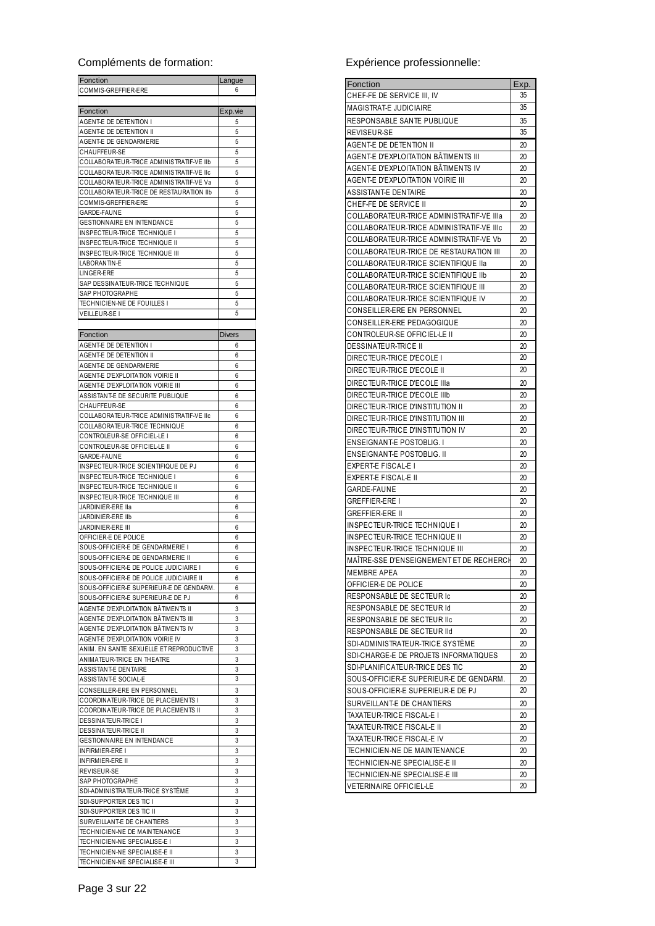#### Compléments de formation: Expérience professionnelle:

| Fonction                                                                    | Langue        |
|-----------------------------------------------------------------------------|---------------|
| COMMIS-GREFFIER-ERE                                                         | 6             |
|                                                                             |               |
| Fonction<br>AGENT-E DE DETENTION I                                          | Exp.vie<br>5  |
| <b>AGENT-E DE DETENTION II</b>                                              | 5             |
| AGENT-E DE GENDARMERIE                                                      | 5             |
| CHAUFFEUR-SE                                                                | 5             |
| COLLABORATEUR-TRICE ADMINISTRATIF-VE IIb                                    | 5             |
| COLLABORATEUR-TRICE ADMINISTRATIF-VE IIc                                    | 5             |
| COLLABORATEUR-TRICE ADMINISTRATIF-VE Va                                     | 5             |
| COLLABORATEUR-TRICE DE RESTAURATION IIb<br>COMMIS-GREFFIER-ERE              | 5<br>5        |
| <b>GARDE-FAUNE</b>                                                          | 5             |
| <b>GESTIONNAIRE EN INTENDANCE</b>                                           | 5             |
| INSPECTEUR-TRICE TECHNIQUE I                                                | 5             |
| INSPECTEUR-TRICE TECHNIQUE II                                               | 5             |
| INSPECTEUR-TRICE TECHNIQUE III                                              | 5             |
| LABORANTIN-E                                                                | 5             |
| LINGER-ERE                                                                  | 5             |
| SAP DESSINATEUR-TRICE TECHNIQUE<br>SAP PHOTOGRAPHE                          | 5<br>5        |
| TECHNICIEN-NE DE FOUILLES I                                                 | 5             |
| VEILLEUR-SE I                                                               | 5             |
|                                                                             |               |
| Fonction                                                                    | <b>Divers</b> |
| AGENT-E DE DETENTION I                                                      | 6             |
| AGENT-E DE DETENTION II                                                     | 6             |
| AGENT-E DE GENDARMERIE                                                      | 6             |
| AGENT-E D'EXPLOITATION VOIRIE II                                            | 6             |
| AGENT-E D'EXPLOITATION VOIRIE III                                           | 6             |
| ASSISTANT-E DE SECURITE PUBLIQUE                                            | 6<br>6        |
| CHAUFFEUR-SE<br>COLLABORATEUR-TRICE ADMINISTRATIF-VE IIc                    | 6             |
| COLLABORATEUR-TRICE TECHNIQUE                                               | 6             |
| CONTROLEUR-SE OFFICIEL-LE I                                                 | 6             |
| CONTROLEUR-SE OFFICIEL-LE II                                                | 6             |
| GARDE-FAUNE                                                                 | 6             |
| INSPECTEUR-TRICE SCIENTIFIQUE DE PJ                                         | 6             |
| INSPECTEUR-TRICE TECHNIQUE I                                                | 6             |
| INSPECTEUR-TRICE TECHNIQUE II                                               | 6             |
| INSPECTEUR-TRICE TECHNIQUE III<br>JARDINIER-ERE IIa                         | 6<br>6        |
| JARDINIER-ERE IIb                                                           | 6             |
| JARDINIER-ERE III                                                           | 6             |
| OFFICIER-E DE POLICE                                                        | 6             |
| SOUS-OFFICIER-E DE GENDARMERIE I                                            | 6             |
| SOUS-OFFICIER-E DE GENDARMERIE II                                           | 6             |
| SOUS-OFFICIER-E DE POLICE JUDICIAIRE L                                      | 6             |
| SOUS-OFFICIER-E DE POLICE JUDICIAIRE II                                     | 6             |
| SOUS-OFFICIER-E SUPERIEUR-E DE GENDARM.                                     | 6             |
| SOUS-OFFICIER-E SUPERIEUR-E DE PJ                                           | 6             |
| AGENT-E D'EXPLOITATION BĂTIMENTS II<br>AGENT-E D'EXPLOITATION BÂTIMENTS III | 3<br>3        |
| AGENT-E D'EXPLOITATION BÂTIMENTS IV                                         | 3             |
| AGENT-E D'EXPLOITATION VOIRIE IV                                            | 3             |
| ANIM. EN SANTE SEXUELLE ET REPRODUCTIVE                                     | 3             |
| ANIMATEUR-TRICE EN THEATRE                                                  | 3             |
| ASSISTANT-E DENTAIRE                                                        | 3             |
| ASSISTANT-E SOCIAL-E                                                        | 3             |
| CONSEILLER-ERE EN PERSONNEL                                                 | 3             |
| COORDINATEUR-TRICE DE PLACEMENTS I                                          | 3             |
| COORDINATEUR-TRICE DE PLACEMENTS II<br>DESSINATEUR-TRICE I                  | 3<br>3        |
| DESSINATEUR-TRICE II                                                        | 3             |
| GESTIONNAIRE EN INTENDANCE                                                  | 3             |
| INFIRMIER-ERE I                                                             | 3             |
| INFIRMIER-ERE II                                                            | 3             |
| REVISEUR-SE                                                                 | 3             |
| SAP PHOTOGRAPHE                                                             | 3             |
| SDI-ADMINISTRATEUR-TRICE SYSTÈME                                            | 3             |
| SDI-SUPPORTER DES TIC I                                                     | 3             |
| SDI-SUPPORTER DES TIC II                                                    | 3<br>3        |
| SURVEILLANT-E DE CHANTIERS<br>TECHNICIEN-NE DE MAINTENANCE                  | 3             |
| TECHNICIEN-NE SPECIALISE-E I                                                | 3             |
| TECHNICIEN-NE SPECIALISE-E II                                               | 3             |
| TECHNICIEN-NE SPECIALISE-E III                                              | 3             |

| Fonction                                  | Exp. |
|-------------------------------------------|------|
| CHEF-FE DE SERVICE III, IV                | 35   |
| MAGISTRAT-E JUDICIAIRE                    | 35   |
| RESPONSABLE SANTE PUBLIQUE                | 35   |
| REVISEUR-SE                               | 35   |
| AGENT-E DE DETENTION II                   | 20   |
| AGENT-E D'EXPLOITATION BĂTIMENTS III      | 20   |
| AGENT-E D'EXPLOITATION BĂTIMENTS IV       | 20   |
| AGENT-E D'EXPLOITATION VOIRIE III         | 20   |
| ASSISTANT-E DENTAIRE                      | 20   |
| CHEF-FE DE SERVICE II                     | 20   |
| COLLABORATEUR-TRICE ADMINISTRATIF-VE IIIa | 20   |
| COLLABORATEUR-TRICE ADMINISTRATIF-VE IIIc | 20   |
| COLLABORATEUR-TRICE ADMINISTRATIF-VE Vb   | 20   |
| COLLABORATEUR-TRICE DE RESTAURATION III   | 20   |
| COLLABORATEUR-TRICE SCIENTIFIQUE IIa      | 20   |
| COLLABORATEUR-TRICE SCIENTIFIQUE IIb      | 20   |
| COLLABORATEUR-TRICE SCIENTIFIQUE III      | 20   |
| COLLABORATEUR-TRICE SCIENTIFIQUE IV       | 20   |
| CONSEILLER-ERE EN PERSONNEL               | 20   |
| CONSEILLER-ERE PEDAGOGIQUE                | 20   |
| CONTROLEUR-SE OFFICIEL-LE III             | 20   |
|                                           |      |
| DESSINATEUR-TRICE II                      | 20   |
| DIRECTEUR-TRICE D'ECOLE I                 | 20   |
| DIRECTEUR-TRICE D'ECOLE II                | 20   |
| DIRECTEUR-TRICE D'ECOLE IIIa              | 20   |
| DIRECTEUR-TRICE D'ECOLE IIIb              | 20   |
| DIRECTEUR-TRICE D'INSTITUTION II          | 20   |
| DIRECTEUR-TRICE D'INSTITUTION III         | 20   |
| DIRECTEUR-TRICE D'INSTITUTION IV          | 20   |
| ENSEIGNANT-E POSTOBLIG. I                 | 20   |
| ENSEIGNANT-E POSTOBLIG. II                | 20   |
| EXPERT-E FISCAL-E I                       | 20   |
| EXPERT-E FISCAL-E II                      | 20   |
| GARDE-FAUNE                               | 20   |
| GREFFIER-ERE I                            | 20   |
| <b>GREFFIER-ERE II</b>                    | 20   |
| INSPECTEUR-TRICE TECHNIQUE I              | 20   |
| INSPECTEUR-TRICE TECHNIQUE II             | 20   |
| INSPECTEUR-TRICE TECHNIQUE III            | 20   |
| MAITRE-SSE D'ENSEIGNEMENT ET DE RECHERCH  | 20   |
| MEMBRE APEA                               | 20   |
| OFFICIER-E DE POLICE                      | 20   |
| RESPONSABLE DE SECTEUR Ic                 | 20   |
| RESPONSABLE DE SECTEUR Id                 | 20   |
| RESPONSABLE DE SECTEUR IIc                | 20   |
| RESPONSABLE DE SECTEUR IId                | 20   |
| SDI-ADMINISTRATEUR-TRICE SYSTEME          | 20   |
| SDI-CHARGE-E DE PROJETS INFORMATIQUES     | 20   |
| SDI-PLANIFICATEUR-TRICE DES TIC           | 20   |
| SOUS-OFFICIER-E SUPERIEUR-E DE GENDARM.   | 20   |
| SOUS-OFFICIER-E SUPERIEUR-E DE PJ         | 20   |
| SURVEILLANT-E DE CHANTIERS                | 20   |
|                                           | 20   |
| TAXATEUR-TRICE FISCAL-E I                 |      |
| TAXATEUR-TRICE FISCAL-E II                | 20   |
| TAXATEUR-TRICE FISCAL-E IV                | 20   |
| TECHNICIEN-NE DE MAINTENANCE              | 20   |
| TECHNICIEN-NE SPECIALISE-E II             | 20   |
| TECHNICIEN-NE SPECIALISE-E III            | 20   |
| <b>VETERINAIRE OFFICIEL-LE</b>            | 20   |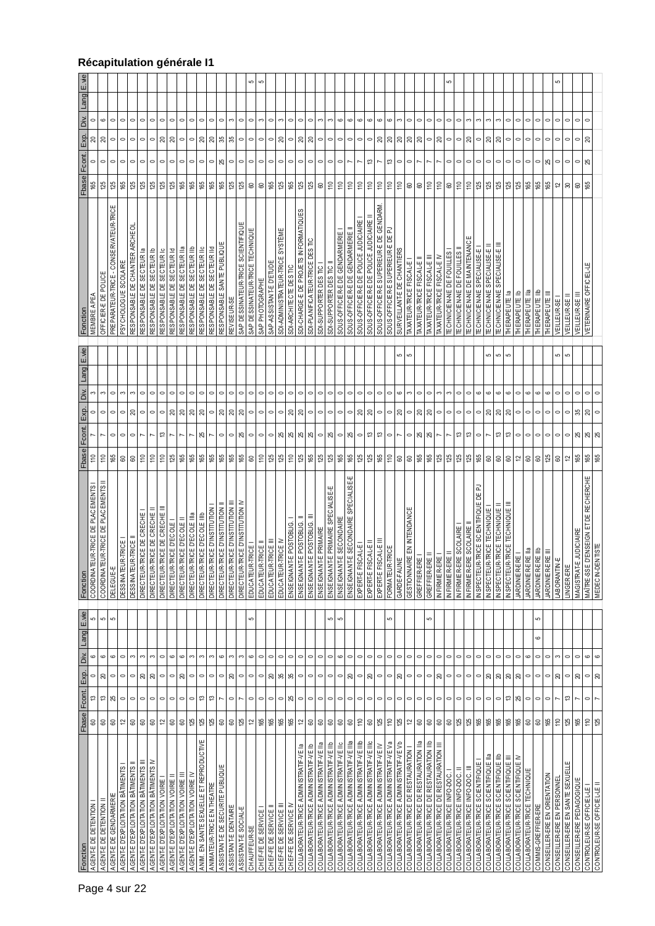| E.vie        |                                   |                                       |                                         |                                     |                                     |                                       |                                     |                               |                                  |                                   |                                  |                                         |                                         |                                        |                                  |                                      | မာ                              | 5                    |                         |                                   |                         |                                         |                                         |                                          |                                          |                                          |                                           |                                           |                                           |                                         |                                         |                                         |                                       |                                         |                                                |                                         | 5                                |                                  |                                   |                                                  |                                       |                                       |                                       |                                     |                               |                      |                               | 5                           |                                  |                                   |                                                           |
|--------------|-----------------------------------|---------------------------------------|-----------------------------------------|-------------------------------------|-------------------------------------|---------------------------------------|-------------------------------------|-------------------------------|----------------------------------|-----------------------------------|----------------------------------|-----------------------------------------|-----------------------------------------|----------------------------------------|----------------------------------|--------------------------------------|---------------------------------|----------------------|-------------------------|-----------------------------------|-------------------------|-----------------------------------------|-----------------------------------------|------------------------------------------|------------------------------------------|------------------------------------------|-------------------------------------------|-------------------------------------------|-------------------------------------------|-----------------------------------------|-----------------------------------------|-----------------------------------------|---------------------------------------|-----------------------------------------|------------------------------------------------|-----------------------------------------|----------------------------------|----------------------------------|-----------------------------------|--------------------------------------------------|---------------------------------------|---------------------------------------|---------------------------------------|-------------------------------------|-------------------------------|----------------------|-------------------------------|-----------------------------|----------------------------------|-----------------------------------|-----------------------------------------------------------|
| Lang         |                                   |                                       |                                         |                                     |                                     |                                       |                                     |                               |                                  |                                   |                                  |                                         |                                         |                                        |                                  |                                      |                                 |                      |                         |                                   |                         |                                         |                                         |                                          |                                          |                                          |                                           |                                           |                                           |                                         |                                         |                                         |                                       |                                         |                                                |                                         |                                  |                                  |                                   |                                                  |                                       |                                       |                                       |                                     |                               |                      |                               |                             |                                  |                                   |                                                           |
| Div.         | $\circ$                           | ဖ                                     | $\circ$                                 | 0                                   | $\circ$                             | $\circ$                               | $\circ$                             | 0                             | 0                                | $\circ$                           | $\circ$                          | $\circ$                                 | $\circ$                                 | $\circ$                                | S                                | $\circ$                              | $\circ$                         | 3                    | $\circ$                 | 3                                 | $\circ$                 | $\circ$                                 | 0                                       | 3                                        | S                                        | $\circ$                                  | 6                                         | $\circ$                                   | $\circ$                                   | $\mathbf{\circ}$                        | 6                                       | $\mathbf{c}$                            | 0                                     | $\circ$                                 | 0                                              | $\circ$                                 | $\circ$                          | $\circ$                          | œ,                                | S                                                | S                                     | S                                     | $\circ$                               | $\circ$                             | 0                             | $\circ$              | $\circ$                       | $\circ$                     | $\circ$                          | $\circ$                           | $\circ$                                                   |
| Exp.         | 20                                | S)                                    | $\circ$                                 | $\circ$                             | $\circ$                             | $\circ$                               | $\circ$                             | S                             | ສ                                | $\circ$                           | $\circ$                          | 20                                      | S)                                      | జ                                      | 35                               | $\circ$                              | $\circ$                         | $\circ$              | $\circ$                 | S                                 | $\circ$                 | 20                                      | 20                                      | $\circ$                                  | $\circ$                                  | $\circ$                                  | $\circ$                                   | 0                                         | $\circ$                                   | S                                       | S                                       | 20                                      | g                                     | ສ                                       | 0                                              | ສ                                       | $\circ$                          | $\circ$                          | 20                                | $\circ$                                          | ສ                                     | S                                     | 0                                     | $\circ$                             | 0                             | $\circ$              | $\circ$                       | $\circ$                     | $\circ$                          | $\circ$                           | g                                                         |
| Fcont.       | $\circ$                           | $\circ$                               | $\circ$                                 | $\circ$                             | $\circ$                             | $\circ$                               | $\circ$                             | $\overline{\phantom{0}}$      | $\circ$                          | $\circ$                           | $\circ$                          | $\circ$                                 | $\circ$                                 | 25                                     | $\circ$                          | $\circ$                              | $\circ$                         | $\circ$              | $\circ$                 | $\circ$                           | $\circ$                 | $\circ$                                 | $\circ$                                 | $\circ$                                  | $\circ$                                  | $\circ$                                  |                                           |                                           | ఇ                                         |                                         | 13                                      | $\circ$                                 | $\circ$                               |                                         |                                                |                                         | $\circ$                          | $\circ$                          | $\circ$                           | $\circ$                                          | $\circ$                               | $\circ$                               | $\circ$                               | $\circ$                             | 0                             | $\circ$              | 25                            | $\circ$                     | $\circ$                          | $\circ$                           | 25                                                        |
| Fbase        | \$                                | 125                                   | 125                                     | 36                                  | 125                                 | 125                                   | 125                                 | 125                           | 125                              | 8                                 | \$                               | 165                                     | 165                                     | 165                                    | 125                              | 8                                    | 60                              | 6                    | 165                     | 125                               | 165                     | 125                                     | 125                                     | 60                                       | $\approx$                                | 110                                      | $\approx$                                 | 110                                       | 110                                       | $\widetilde{=}$                         | $\frac{10}{2}$                          | 110                                     | 8                                     | 8                                       | $\widetilde{=}$                                | $\tilde{=}$                             | 8                                | $\widetilde{=}$                  | $\frac{10}{2}$                    | <u>18</u>                                        | 125                                   | 125                                   | 125                                   | 125                                 | \$                            | 165                  | 165                           | 5                           | ౚ                                | 60                                | i65                                                       |
| Fonction     | MEMBRE APEA                       | OFFICIER-E DE POLICE                  | PREPARA TEUR-TRICE - CONSERVATEUR-TRICE | PSYCHOLOGUE SCOLAIR                 | RESPONSABLE DE CHANTIER ARCHEOL     | RESPONSABLE DE SECTEUR la             | RESPONSABLE DE SECTEUR Ib           | RESPONSABLE DE SECTEUR        | RESPONSABLE DE SECTEUR           | RESPONSABLE DE SECTEUR IIa        | RESPONSABLE DE SECTEUR IIb       | RESPONSABLE DE SECTEUR IIG              | RESPONSABLE DE SECTEUR IId              | RESPONSABLE SANTE PUBLIQU              | REVISEUR-SE                      | SAP DESSINA TEUR-TRICE SCIENTIFIQU   | SAP DESSINATEUR-TRICE TECHNIQUE | SAP PHOTOGRAPHE      | SAP-ASSISTANT-E D'ETUDE | SDI-ADMINIS TRATEUR-TRICE SYSTÈME | SDI-ARCHITECTE DES TIC  | SDI-CHARGE-E DE PROJETS INFORMATIQUES   | SDI-PLANIFICATEUR-TRICE DES TIC         | SDI-SUPPORTER DES TIC                    | SDI-SUPPORTER DES TIC                    | SOUS-OFFICIER-E DE GENDARMERIE           | SOUS-OFFICIER-E DE GENDARMERIE            | SOUS-OFFICIER-E DE POLICE JUDICIAIRE      | SOUS-OFFICIER-E DE POLICE JUDICIAIRE      | SOUS-OFFICIER-E SUPERIEUR-E DE GENDARM  | SOUS-OFFICIER-E SUPERIEUR-E DE P.       | SURVEILLANTE DE CHANTIERS               | TAXATEUR-TRICE FISCAL-E               | <b>TAXATEUR-TRICE FISCAL-E</b>          | <b>IAXATEUR-TRICE FISCAL-E</b>                 | <b>TAXATEUR-TRICE FISCAL-EIN</b>        | <b>TECHNICIEN-NE DE FOUILLES</b> | <b>TECHNICIEN-NE DE FOUILLES</b> | IECHNICIEN-NE DE MAINTENANCE      | ECHNICIEN-NE SPECIALISE-                         | TE CHNICIEN-NE SPECIALISE-EI          | TECHNICIEN-NE SPECIALISE-E II         | THERAPEUTE la                         | THERAPEUTE Ib                       | <b>HERAPEUTE IIa</b>          | <b>HERAPEUTE IIb</b> | THERAPEUTE II                 | <b>JEILLEUR-SE</b>          | VEILLEUR-SE II                   | VEILLEUR-SE II                    | <b>VETERINAIRE OFFICIEL-LE</b>                            |
| E.vie        |                                   |                                       |                                         |                                     |                                     |                                       |                                     |                               |                                  |                                   |                                  |                                         |                                         |                                        |                                  |                                      |                                 |                      |                         |                                   |                         |                                         |                                         |                                          |                                          |                                          |                                           |                                           |                                           |                                         |                                         | 5                                       | 5                                     |                                         |                                                |                                         |                                  |                                  |                                   |                                                  | 5                                     | 5                                     | LC.                                   |                                     |                               |                      |                               | 5                           | 5                                |                                   |                                                           |
| Lang         | ĉ,                                | က                                     | o                                       | ຕ                                   | C.                                  | $\circ$                               | $\circ$                             | 0                             | $\circ$                          | $\circ$                           | $\circ$                          | $\circ$                                 | $\circ$                                 | $\circ$                                | $\circ$                          | $\circ$                              | $\circ$                         | $\circ$              | $\circ$                 | $\circ$                           | $\circ$                 | $\circ$                                 | 0                                       | 0                                        | $\circ$                                  | $\circ$                                  | $\circ$                                   | 0                                         | $\circ$                                   | $\circ$                                 | $\circ$                                 | ဖ                                       | S                                     | $\circ$                                 | 0                                              |                                         | S                                | $\circ$                          | 0                                 | $\mathbf{\circ}$                                 | $\mathbf{\circ}$                      | $\circ$                               | 6                                     | 0                                   | ဖ                             | $\circ$              | $\, \circ \,$                 | $\circ$                     | 0                                | $\circ$                           | $\circ$                                                   |
| Div.<br>Exp. | $\circ$                           | $\circ$                               | $\circ$                                 | 0                                   | ສ                                   | $\circ$                               | $\circ$                             | 0                             | ສ                                | ສ                                 | ສ                                | ສ                                       | $\circ$                                 | g                                      | ສ                                | ୱ                                    | $\circ$                         | $\circ$              | $\circ$                 | $\circ$                           | ສ                       | ສ                                       | $\circ$                                 | $\circ$                                  | $\circ$                                  | $\circ$                                  | $\circ$                                   | ସ                                         | ସ                                         | $\circ$                                 | $\circ$                                 | ଅ                                       | $\circ$                               | ສ                                       | ສ                                              | $\circ$                                 | $\circ$                          | $\circ$                          | $\circ$                           | $\circ$                                          | ສ                                     | ສ                                     | g                                     | $\circ$                             | 0                             | $\circ$              | $\circ$                       | $\circ$                     | $\circ$                          | ಜ                                 | ୡ                                                         |
| Fcont.       |                                   |                                       |                                         |                                     |                                     |                                       |                                     |                               |                                  |                                   |                                  |                                         |                                         |                                        |                                  |                                      |                                 |                      |                         |                                   |                         |                                         |                                         |                                          |                                          |                                          |                                           |                                           |                                           |                                         |                                         |                                         |                                       |                                         |                                                |                                         |                                  |                                  |                                   |                                                  |                                       |                                       |                                       |                                     |                               |                      |                               |                             |                                  |                                   |                                                           |
|              |                                   |                                       | $\circ$                                 | 0                                   | $\circ$                             |                                       |                                     | ఞ                             |                                  |                                   |                                  | ని                                      |                                         | $\circ$                                | $\circ$                          | ಸಿ                                   | $\circ$                         | $\circ$              | $\circ$                 | 25                                | 55                      | 25                                      | 25                                      | $\circ$                                  | 25                                       | $\circ$                                  | ಸಿ                                        | $\circ$                                   | ొ                                         | చ                                       | 0                                       |                                         | $\circ$                               | æ                                       | ಸ                                              |                                         |                                  | ఇ                                | ఇ                                 | $\circ$                                          |                                       | t3                                    | ఞ                                     | 0                                   | 0                             | $\circ$              | $\circ$                       | 0                           | 0                                | 25                                | 25<br>25                                                  |
| Fbase        | $\frac{10}{2}$                    | $\approx$                             | \$                                      | 8                                   | 8                                   | 110                                   | 110                                 | $\approx$                     | 125                              | 165                               | \$                               | 165                                     | \$                                      | 165                                    | \$                               | 8                                    | 8                               | $\widetilde{=}$      | 125                     | 125                               | $\approx$               | 125                                     | \$                                      | 125                                      | 125                                      | 8                                        | 165                                       | 125                                       | 125                                       | 165                                     | $\widetilde{=}$                         | 8                                       | 8                                     | 165                                     | 165                                            | 125                                     | 125                              | 125                              | 125                               | 165                                              | 8                                     | 8                                     | 60                                    | 12                                  | 8                             | 8                    | 125                           | 8                           | 5                                | 165                               | 165<br>165                                                |
| Fonction     | COORDINA TEUR-TRICE DE PLACEMENTS | II SLN3DVT4 30 3ONL-YIOB<br>COORDINAT | DELEGUE-E                               | <b>UR-TRICE</b><br><b>DESSINATE</b> | DESSINATEUR-TRICE II                | DIRECTEUR-TRICE DE CRECHE             | DIRECTEUR-TRICE DE CRECHE           | TRICE DE CRECHE<br>DIRECTEUR- | DIRECTEUR-TRICE D'ECOLE I        | DIRECTEUR-TRICE D'ECOLE II        | DIRECTEUR-TRICE D'ECOLE IIIa     | DIRECTEUR-TRICE D'ECOLE IIIb            | <b>RICE D'INSTITUTION</b><br>DIRECTEUR- | I NOILINLISNII TURI<br>DIRECTEUR-      | DIRECTEUR-TRICE D'INSTITUTION II | TRICE D'INSTITUTION IV<br>DIRECTEUR. | EDUCATEUR-TRICE I               | EDUCATEUR-TRICE II   | EDUCATEUR-TRICE III     | EDUCATEUR-TRICE IV                | ENSEIGNANT-E POSTOBLIG. | ENSEIGNANT-E POSTOBLIG.                 | ENSEIGNANT-E POSTOBLIG. III             | T-E PRIMAIRE<br>ENSEIGNAN                | ENSEIGNANTE PRIMAIRE SPECIALISE-E        | ENSEIGNANT-E SECONDAIRE                  | ENSEIGNANTE SECONDAIRE SPECIALISE-E       | EXPERT-E FISCAL-E                         | EXPERT-E FISCAL-E II                      | EXPERT-E FISCAL-E III                   | FORMATEUR-TRICE                         | GARDE-FAUNE                             | GESTIONNAIRE EN INTENDANCE            | GREFFIER-ERE                            | GREFFIER-ERE II                                | IN FIRMIER-ERE                          | IN FIRMIER-ERE II                | INFIRMIER-ERE SCOLAIRE           | IN FIRMIER-ERE SCOLAIRE           | ്<br>R-TRICE SCIENTIFIQUE DE<br><b>INSPECTEU</b> | R-TRICE TECHNIQUE<br><b>INSPECTEU</b> | R-TRICE TECHNIQUE<br><b>INSPECTEU</b> | R-TRICE TECHNIQUE<br><b>INSPECTEU</b> | JARDINIER-ERE I                     | JARDINIER-ERE IIa             | JARDINIER-ERE IIb    | JARDINIER-ERE III             | 뵢<br>LABORANTIN             | LINGER-ERE                       | MAGISTRAT-E JUDICIAIRE            | DENSEIGN ETDE RECHERCHE<br>MEDECIN-DENTISTE<br>MAÎTRE-SSE |
| E.vie        | မာ                                | 5                                     | 5                                       |                                     |                                     |                                       |                                     |                               |                                  |                                   |                                  |                                         |                                         |                                        |                                  |                                      | မာ                              |                      |                         |                                   |                         |                                         |                                         |                                          | 5                                        | မာ                                       |                                           |                                           |                                           |                                         | 5                                       |                                         |                                       |                                         | 5                                              |                                         |                                  |                                  |                                   |                                                  |                                       |                                       |                                       |                                     |                               | 5                    |                               |                             |                                  |                                   |                                                           |
| Lang         |                                   |                                       |                                         |                                     |                                     |                                       |                                     |                               |                                  |                                   |                                  |                                         |                                         |                                        |                                  |                                      |                                 |                      |                         |                                   |                         |                                         |                                         |                                          |                                          |                                          |                                           |                                           |                                           |                                         |                                         |                                         |                                       |                                         |                                                |                                         |                                  |                                  |                                   |                                                  |                                       |                                       |                                       |                                     |                               | 6                    |                               |                             |                                  |                                   |                                                           |
| Div.         | $\circ$                           | $\circ$                               | $\circ$                                 | $\circ$                             | 3                                   | S                                     | S                                   | $\circ$                       | 6                                | $\circ$                           | S                                | S                                       | S                                       | 6                                      | S                                | Ċ.                                   | $\circ$                         | $\circ$              | $\circ$                 | $\circ$                           | $\circ$                 | $\circ$                                 | $\circ$                                 | $\circ$                                  | $\circ$                                  | $\circ$                                  | $\circ$                                   | $\circ$                                   | $\circ$                                   | $\circ$                                 | $\circ$                                 | $\circ$                                 | $\circ$                               | $\circ$                                 | 0                                              | $\circ$                                 | $\circ$                          | $\circ$                          | $\circ$                           | $\circ$                                          | $\circ$                               | $\circ$                               | $\circ$                               | $\circ$                             | 6                             | $\circ$              | $\circ$                       | S                           | $\circ$                          | $\circ$                           | $\circ$<br>$\circ$                                        |
| Exp.         | $\circ$                           | 20                                    | $\circ$                                 | 0                                   | $\circ$                             | S)                                    | g                                   | $\circ$                       | $\circ$                          | 20                                | $\circ$                          | $\circ$                                 | $\circ$                                 | $\circ$                                | ສ                                | $\circ$                              | $\circ$                         | $\circ$              | ສ                       | 35                                | జ                       | $\circ$                                 | $\circ$                                 | $\circ$                                  | $\circ$                                  | $\circ$                                  | ຮ                                         | $\circ$                                   | 20                                        | $\circ$                                 | $\circ$                                 | S                                       | $\circ$                               | $\circ$                                 | 0                                              | g                                       | $\circ$                          | $\circ$                          | $\circ$                           | $\circ$                                          | g                                     | ສ                                     | g                                     | 20                                  | $\circ$                       | $\circ$              | $\circ$                       | ສ                           | $\circ$                          | $\Omega$                          | $\approx$<br>$\circ$                                      |
| Fcont.       | ₽                                 | ß                                     | æ                                       | $\circ$                             | $\circ$                             | $\circ$                               | $\circ$                             | $\circ$                       | 0                                | $\circ$                           | $\circ$                          | ₽                                       | ొ                                       |                                        | $\circ$                          |                                      | $\circ$                         | $\circ$              | $\circ$                 | $\circ$                           | æ                       | $\circ$                                 | $\circ$                                 | $\circ$                                  | $\circ$                                  | $\circ$                                  | $\circ$                                   | $\circ$                                   | $\circ$                                   | $\circ$                                 | $\circ$                                 | $\circ$                                 | $\circ$                               | $\circ$                                 | $\circ$                                        | $\circ$                                 | $\circ$                          | $\circ$                          | $\circ$                           | $\circ$                                          | $\circ$                               | $\circ$                               | 13                                    | ద్                                  | $\circ$                       | $\circ$              | $\circ$                       |                             | ₿                                |                                   | $\circ$                                                   |
| Fbase        | 8                                 | 60                                    | 8                                       | 5                                   | 8                                   | 60                                    | 60                                  | ₽                             | 8                                | $\pmb{\mathbb{S}}$                | 125                              | 125                                     | 125                                     | 8                                      | 8                                | 125                                  | 5,                              | 165                  | 165                     | 165                               | 165                     | ₽                                       | 60                                      | 8                                        | 8                                        | 8                                        | 8                                         | $\frac{1}{10}$                            | 60                                        | 125                                     | 110                                     | 125                                     | 5,                                    | 8                                       | 8                                              | 8                                       | 8                                | 125                              | 125                               | 165                                              | 165                                   | 165                                   | 165                                   | 165                                 | 8                             | $\mathbb{S}$         | 165                           | 110                         | 125                              | 165                               | 110<br>125                                                |
| Fonction     | AGENT-E DE DE TENTION I           | AGENT-E DE DE TENTION II              | AGENT-E DE GENDARMERIE                  | AGENT-E D'EXPLOITATION BÂTIMENTS    | AGENT-E D'EXPLOITATION BÂTIMENTS II | A GENT-E D'EXPLOITATION BÂTIMENTS III | AGENT-E D'EXPLOITATION BÂTIMENTS IV | AGENT-E D'EXPLOITATION VOIRIE | AGENT-E D'EXPLOITATION VOIRIE II | AGENT-E D'EXPLOITATION VOIRIE III | AGENT-E D'EXPLOITATION VOIRIE IV | ANIM. EN SANTE SEXUELLE ET REPRODUCTIVE | ANIMATEUR-TRICE EN THEATRE              | <b>ASSISTANTE DE SECURITE PUBLIQUE</b> | ASSISTANT-E DENTAIRE             | ASSISTANT-E SOCIAL-E                 | CHAUFFEUR-SE                    | CHEF-FE DE SERVICE I | CHEF-FE DE SERVICE I    | CHEF-FE DE SERVICE III            | CHEF-FE DE SERVICE IV   | COLLABORATEUR-TRICE ADMINISTRATIF-VE la | COLLABORATEUR-TRICE ADMINISTRATIF-VE Ib | COLLARORATEUR-TRICE ADMINISTRATIF-VE IIa | COLLABORATEUR-TRICE ADMINISTRATIF-VE IIb | COLLABORATEUR-TRICE ADMINISTRATIF-VE IIc | COLLABORATEUR-TRICE ADMINISTRATIF-VE IIIa | COLLABORATEUR-TRICE ADMINISTRATIF-VE IIIb | COLLABORATEUR-TRICE ADMINISTRATIF-VE IIIC | COLLABORATEUR-TRICE ADMINISTRATIF-VE IV | COLLABORATEUR-TRICE ADMINISTRATIF-VE Va | COLLABORATEUR-TRICE ADMINISTRATIF-VE Vb | COLLABORATEUR-TRICE DE RESTAURATION I | COLLABORATEUR-TRICE DE RESTAURATION IIa | <b>COLLABORATEUR-TRICE DE RESTAURATION IIB</b> | COLLABORATEUR-TRICE DE RESTAURATION III | COLLABORATEUR-TRICE INFO-DOC. I  | COLLABORATEUR-TRICE INFO-DOC. II | COLLABORATEUR-TRICE INFO-DOC. III | COLLABORATEUR-TRICE SCIENTIFIQUE                 | COLLABORATEUR-TRICE SCIENTIFIQUE IIa  | COLLABORATEUR-TRICE SCIENTIFIQUE IIb  | COLLABORATEUR-TRICE SCIENTIFIQUE III  | COLLABORATEUR-TRICE SCIENTIFIQUE IV | COLLABORATEUR-TRICE TECHNIQUE | COMMIS-GREFFIER-ERE  | CONSEILLER-ERE EN ORIENTATION | CONSEILLER-ERE EN PERSONNEL | CONSEILLER-ERE EN SANTE SEXUELLE | <b>CONSEILLER-ERE PEDAGOGIQUE</b> | COMINOTEN B'SE OLLICIET-TE<br>CONIROLEUR-SE OFFICIEL-LE   |

#### **Récapitulation générale I1**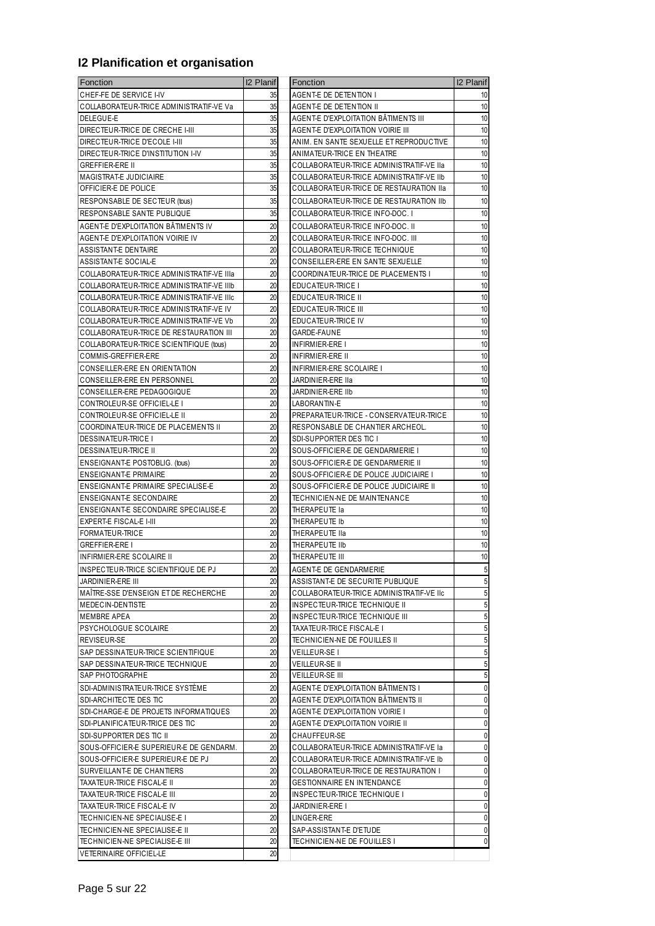## **I2 Planification et organisation**

| Fonction                                   | <b>12 Planif</b> | Fonction                                       | <b>I2 Planif</b> |
|--------------------------------------------|------------------|------------------------------------------------|------------------|
| CHEF-FE DE SERVICE I-IV                    | 35               | AGENT-E DE DETENTION I                         | 10               |
| COLLABORATEUR-TRICE ADMINISTRATIF-VE Va    | 35               | AGENT-E DE DETENTION II                        | 10               |
| DELEGUE-E                                  | 35               | AGENT-E D'EXPLOITATION BÂTIMENTS III           | 10               |
| DIRECTEUR-TRICE DE CRECHE I-III            | 35               | AGENT-E D'EXPLOITATION VOIRIE III              | 10               |
| DIRECTEUR-TRICE D'ECOLE I-III              | 35               | ANIM. EN SANTE SEXUELLE ET REPRODUCTIVE        | 10               |
| DIRECTEUR-TRICE D'INSTITUTION I-IV         | 35               | ANIMATEUR-TRICE EN THEATRE                     | 10               |
| <b>GREFFIER-ERE II</b>                     | 35               | COLLABORATEUR-TRICE ADMINISTRATIF-VE IIa       | 10               |
| MAGISTRAT-E JUDICIAIRE                     | 35               | COLLABORATEUR-TRICE ADMINISTRATIF-VE IIb       | 10               |
| OFFICIER-E DE POLICE                       | 35               | COLLABORATEUR-TRICE DE RESTAURATION IIa        | 10               |
| RESPONSABLE DE SECTEUR (tous)              | 35               | <b>COLLABORATEUR-TRICE DE RESTAURATION IIb</b> | 10               |
| RESPONSABLE SANTE PUBLIQUE                 | 35               | COLLABORATEUR-TRICE INFO-DOC. I                | 10               |
| <b>AGENT-E D'EXPLOITATION BÂTIMENTS IV</b> | 20               | COLLABORATEUR-TRICE INFO-DOC. II               |                  |
|                                            |                  |                                                | 10               |
| AGENT-E D'EXPLOITATION VOIRIE IV           | 20               | COLLABORATEUR-TRICE INFO-DOC. III              | 10               |
| ASSISTANT-E DENTAIRE                       | 20               | COLLABORATEUR-TRICE TECHNIQUE                  | 10               |
| ASSISTANT-E SOCIAL-E                       | 20               | CONSEILLER-ERE EN SANTE SEXUELLE               | 10               |
| COLLABORATEUR-TRICE ADMINISTRATIF-VE IIIa  | 20               | COORDINATEUR-TRICE DE PLACEMENTS I             | 10               |
| COLLABORATEUR-TRICE ADMINISTRATIF-VE IIIb  | 20               | EDUCATEUR-TRICE I                              | 10               |
| COLLABORATEUR-TRICE ADMINISTRATIF-VE IIIc  | 20               | EDUCATEUR-TRICE II                             | 10               |
| COLLABORATEUR-TRICE ADMINISTRATIF-VE IV    | 20               | EDUCATEUR-TRICE III                            | 10               |
| COLLABORATEUR-TRICE ADMINISTRATIF-VE Vb    | 20               | <b>EDUCATEUR-TRICE IV</b>                      | 10               |
| COLLABORATEUR-TRICE DE RESTAURATION III    | 20               | GARDE-FAUNE                                    | 10               |
| COLLABORATEUR-TRICE SCIENTIFIQUE (tous)    | 20               | <b>INFIRMIER-ERE I</b>                         | 10               |
| COMMIS-GREFFIER-ERE                        | 20               | <b>INFIRMIER-ERE II</b>                        | 10               |
| CONSEILLER-ERE EN ORIENTATION              | 20               | INFIRMIER-ERE SCOLAIRE I                       | 10               |
| CONSEILLER-ERE EN PERSONNEL                | 20               | JARDINIER-ERE IIa                              | 10               |
| CONSEILLER-ERE PEDAGOGIQUE                 | 20               | JARDINIER-ERE IIb                              | 10               |
| CONTROLEUR-SE OFFICIEL-LE I                | 20               | LABORANTIN-E                                   | 10               |
| CONTROLEUR-SE OFFICIEL-LE II               | 20               | PREPARATEUR-TRICE - CONSERVATEUR-TRICE         | 10               |
| COORDINATEUR-TRICE DE PLACEMENTS II        | 20               | RESPONSABLE DE CHANTIER ARCHEOL.               | 10               |
| DESSINATEUR-TRICE I                        | 20               | SDI-SUPPORTER DES TIC I                        | 10               |
| <b>DESSINATEUR-TRICE II</b>                | 20               | SOUS-OFFICIER-E DE GENDARMERIE I               | 10               |
| ENSEIGNANT-E POSTOBLIG. (tous)             | 20               | SOUS-OFFICIER-E DE GENDARMERIE II              | 10               |
| <b>ENSEIGNANT-E PRIMAIRE</b>               | 20               | SOUS-OFFICIER-E DE POLICE JUDICIAIRE I         | 10               |
| ENSEIGNANT-E PRIMAIRE SPECIALISE-E         | 20               | SOUS-OFFICIER-E DE POLICE JUDICIAIRE II        | 10               |
| ENSEIGNANT-E SECONDAIRE                    | 20               | TECHNICIEN-NE DE MAINTENANCE                   | 10               |
| ENSEIGNANT-E SECONDAIRE SPECIALISE-E       | 20               | THERAPEUTE la                                  | 10               |
| EXPERT-E FISCAL-E I-III                    | 20               | THERAPEUTE Ib                                  | 10               |
| FORMATEUR-TRICE                            | 20               | THERAPEUTE IIa                                 | 10               |
| <b>GREFFIER-ERE I</b>                      | 20               | THERAPEUTE IIb                                 | 10               |
| INFIRMIER-ERE SCOLAIRE II                  | 20               | THERAPEUTE III                                 | 10               |
| INSPECTEUR-TRICE SCIENTIFIQUE DE PJ        | 20               | AGENT-E DE GENDARMERIE                         | $\sqrt{2}$       |
| JARDINIER-ERE III                          | 20               | ASSISTANT-E DE SECURITE PUBLIQUE               | 5                |
| MAÎTRE-SSE D'ENSEIGN ET DE RECHERCHE       | 20               | COLLABORATEUR-TRICE ADMINISTRATIF-VE IIc       | 5                |
| MEDECIN-DENTISTE                           | 20               | INSPECTEUR-TRICE TECHNIQUE II                  | 5                |
| <b>MEMBRE APEA</b>                         | 20               | INSPECTEUR-TRICE TECHNIQUE III                 | 5                |
| <b>PSYCHOLOGUE SCOLAIRE</b>                | 20               | TAXATEUR-TRICE FISCAL-E I                      | 5                |
| REVISEUR-SE                                | 20               | TECHNICIEN-NE DE FOUILLES II                   | 5                |
|                                            |                  |                                                |                  |
| SAP DESSINATEUR-TRICE SCIENTIFIQUE         | 20               | <b>VEILLEUR-SE I</b>                           | 5                |
| SAP DESSINATEUR-TRICE TECHNIQUE            | 20               | <b>VEILLEUR-SE II</b>                          | 5                |
| <b>SAP PHOTOGRAPHE</b>                     | 20               | VEILLEUR-SE III                                | 5                |
| SDI-ADMINISTRATEUR-TRICE SYSTÈME           | 20               | AGENT-E D'EXPLOITATION BÂTIMENTS I             | $\mathbf 0$      |
| SDI-ARCHITECTE DES TIC                     | 20               | AGENT-E D'EXPLOITATION BÂTIMENTS II            | 0                |
| SDI-CHARGE-E DE PROJETS INFORMATIQUES      | 20               | AGENT-E D'EXPLOITATION VOIRIE I                | 0                |
| SDI-PLANIFICATEUR-TRICE DES TIC            | 20               | AGENT-E D'EXPLOITATION VOIRIE II               | 0                |
| SDI-SUPPORTER DES TIC II                   | 20               | CHAUFFEUR-SE                                   | 0                |
| SOUS-OFFICIER-E SUPERIEUR-E DE GENDARM.    | 20               | COLLABORATEUR-TRICE ADMINISTRATIF-VE Ia        | 0                |
| SOUS-OFFICIER-E SUPERIEUR-E DE PJ          | 20               | COLLABORATEUR-TRICE ADMINISTRATIF-VE Ib        | 0                |
| SURVEILLANT-E DE CHANTIERS                 | 20               | COLLABORATEUR-TRICE DE RESTAURATION I          | 0                |
| TAXATEUR-TRICE FISCAL-E II                 | 20               | <b>GESTIONNAIRE EN INTENDANCE</b>              | 0                |
| TAXATEUR-TRICE FISCAL-E III                | 20               | INSPECTEUR-TRICE TECHNIQUE I                   | 0                |
| TAXATEUR-TRICE FISCAL-E IV                 | 20               | JARDINIER-ERE I                                | 0                |
| TECHNICIEN-NE SPECIALISE-E I               | 20               | LINGER-ERE                                     | 0                |
| TECHNICIEN-NE SPECIALISE-E II              | 20               | SAP-ASSISTANT-E D'ETUDE                        | 0                |
| TECHNICIEN-NE SPECIALISE-E III             | 20               | TECHNICIEN-NE DE FOUILLES I                    | 0                |
| <b>VETERINAIRE OFFICIEL-LE</b>             | 20               |                                                |                  |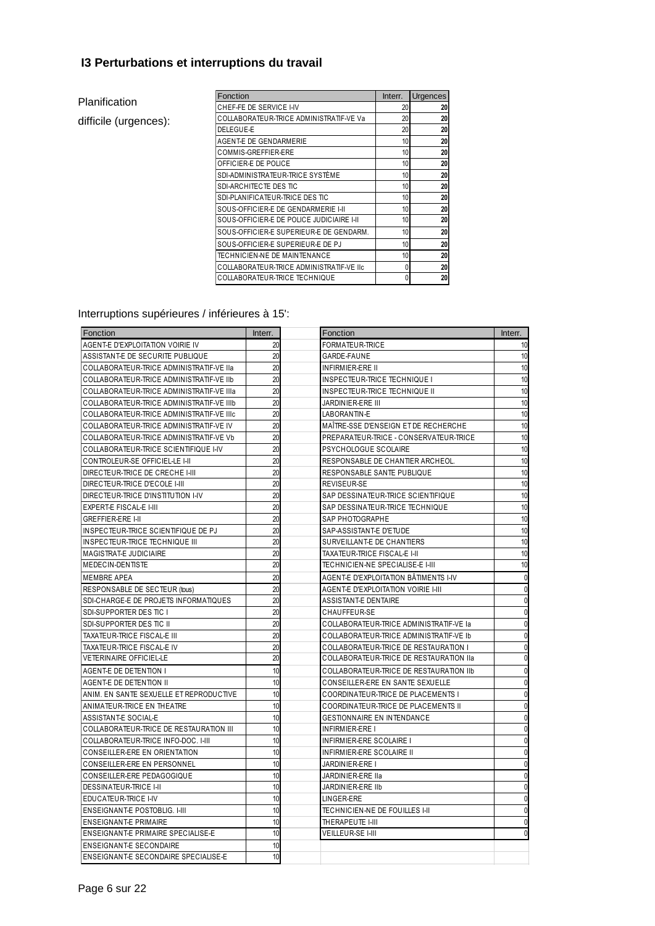### **I3 Perturbations et interruptions du travail**

|                       | Fonction                                  | Interr. | Urgences |
|-----------------------|-------------------------------------------|---------|----------|
| Planification         | CHEF-FE DE SERVICE I-IV                   | 20      | 20       |
| difficile (urgences): | COLLABORATEUR-TRICE ADMINISTRATIF-VE Va   | 20      | 20       |
|                       | DELEGUE-E                                 | 20      | 20       |
|                       | AGENT-E DE GENDARMERIE                    | 10      | 20       |
|                       | COMMIS-GREFFIER-ERE                       | 10      | 20       |
|                       | OFFICIER-E DE POLICE                      | 10      | 20       |
|                       | SDI-ADMINISTRATEUR-TRICE SYSTÈME          | 10      | 20       |
|                       | SDI-ARCHITECTE DES TIC                    | 10      | 20       |
|                       | SDI-PLANIFICATEUR-TRICE DES TIC           | 10      | 20       |
|                       | SOUS-OFFICIER-E DE GENDARMERIE I-II       | 10      | 20       |
|                       | SOUS-OFFICIER-E DE POLICE JUDICIAIRE I-II | 10      | 20       |
|                       | SOUS-OFFICIER-E SUPERIEUR-E DE GENDARM.   | 10      | 20       |
|                       | SOUS-OFFICIER-E SUPERIEUR-E DE PJ         | 10      | 20       |
|                       | TECHNICIEN-NE DE MAINTENANCE              | 10      | 20       |
|                       | COLLABORATEUR-TRICE ADMINISTRATIF-VE IIc  | 0       | 20       |
|                       | COLLABORATEUR-TRICE TECHNIQUE             | 0       | 20       |

#### Interruptions supérieures / inférieures à 15':

| Fonction                                  | Interr. | Fonction                                       | Interr.      |
|-------------------------------------------|---------|------------------------------------------------|--------------|
| AGENT-E D'EXPLOITATION VOIRIE IV          | 20      | FORMATEUR-TRICE                                | 10           |
| ASSISTANT-E DE SECURITE PUBLIQUE          | 20      | <b>GARDE-FAUNE</b>                             | 10           |
| COLLABORATEUR-TRICE ADMINISTRATIF-VE IIa  | 20      | <b>INFIRMIER-ERE II</b>                        | 10           |
| COLLABORATEUR-TRICE ADMINISTRATIF-VE IIb  | 20      | INSPECTEUR-TRICE TECHNIQUE I                   | 10           |
| COLLABORATEUR-TRICE ADMINISTRATIF-VE IIIa | 20      | INSPECTEUR-TRICE TECHNIQUE II                  | 10           |
| COLLABORATEUR-TRICE ADMINISTRATIF-VE IIIb | 20      | JARDINIER-ERE III                              | 10           |
| COLLABORATEUR-TRICE ADMINISTRATIF-VE IIIc | 20      | LABORANTIN-E                                   | 10           |
| COLLABORATEUR-TRICE ADMINISTRATIF-VE IV   | 20      | MAÎTRE-SSE D'ENSEIGN ET DE RECHERCHE           | 10           |
| COLLABORATEUR-TRICE ADMINISTRATIF-VE Vb   | 20      | PREPARATEUR-TRICE - CONSERVATEUR-TRICE         | 10           |
| COLLABORATEUR-TRICE SCIENTIFIQUE I-IV     | 20      | PSYCHOLOGUE SCOLAIRE                           | 10           |
| CONTROLEUR-SE OFFICIEL-LE I-II            | 20      | RESPONSABLE DE CHANTIER ARCHEOL.               | 10           |
| DIRECTEUR-TRICE DE CRECHE I-III           | 20      | RESPONSABLE SANTE PUBLIQUE                     | 10           |
| DIRECTEUR-TRICE D'ECOLE I-III             | 20      | REVISEUR-SE                                    | 10           |
| DIRECTEUR-TRICE D'INSTITUTION I-IV        | 20      | SAP DESSINATEUR-TRICE SCIENTIFIQUE             | 10           |
| EXPERT-E FISCAL-E I-III                   | 20      | SAP DESSINATEUR-TRICE TECHNIQUE                | 10           |
| <b>GREFFIER-ERE I-II</b>                  | 20      | SAP PHOTOGRAPHE                                | 10           |
| INSPECTEUR-TRICE SCIENTIFIQUE DE PJ       | 20      | SAP-ASSISTANT-E D'ETUDE                        | 10           |
| INSPECTEUR-TRICE TECHNIQUE III            | 20      | SURVEILLANT-E DE CHANTIERS                     | 10           |
| MAGISTRAT-E JUDICIAIRE                    | 20      | TAXATEUR-TRICE FISCAL-E I-II                   | 10           |
| MEDECIN-DENTISTE                          | 20      | TECHNICIEN-NE SPECIALISE-E I-III               | 10           |
| <b>MEMBRE APEA</b>                        | 20      | AGENT-E D'EXPLOITATION BÂTIMENTS I-IV          | $\mathbf{0}$ |
| RESPONSABLE DE SECTEUR (tous)             | 20      | AGENT-E D'EXPLOITATION VOIRIE I-III            | 0            |
| SDI-CHARGE-E DE PROJETS INFORMATIQUES     | 20      | ASSISTANT-E DENTAIRE                           | 0            |
| SDI-SUPPORTER DES TIC I                   | 20      | CHAUFFEUR-SE                                   | $\mathbf{0}$ |
| SDI-SUPPORTER DES TIC II                  | 20      | COLLABORATEUR-TRICE ADMINISTRATIF-VE la        | 0            |
| TAXATEUR-TRICE FISCAL-E III               | 20      | COLLABORATEUR-TRICE ADMINISTRATIF-VE Ib        | 0            |
| TAXATEUR-TRICE FISCAL-E IV                | 20      | COLLABORATEUR-TRICE DE RESTAURATION I          | 0            |
| <b>VETERINAIRE OFFICIEL-LE</b>            | 20      | <b>COLLABORATEUR-TRICE DE RESTAURATION IIa</b> | 0            |
| AGENT-E DE DETENTION I                    | 10      | COLLABORATEUR-TRICE DE RESTAURATION IIb        | 0            |
| AGENT-E DE DETENTION II                   | 10      | CONSEILLER-ERE EN SANTE SEXUELLE               | 0            |
| ANIM. EN SANTE SEXUELLE ET REPRODUCTIVE   | 10      | COORDINATEUR-TRICE DE PLACEMENTS I             | 0            |
| ANIMATEUR-TRICE EN THEATRE                | 10      | COORDINATEUR-TRICE DE PLACEMENTS II            | 0            |
| ASSISTANT-E SOCIAL-E                      | 10      | <b>GESTIONNAIRE EN INTENDANCE</b>              | 0            |
| COLLABORATEUR-TRICE DE RESTAURATION III   | 10      | <b>INFIRMIER-ERE I</b>                         | ſ            |
| COLLABORATEUR-TRICE INFO-DOC. I-III       | 10      | <b>INFIRMIER-ERE SCOLAIRE I</b>                | O            |
| CONSEILLER-ERE EN ORIENTATION             | 10      | INFIRMIER-ERE SCOLAIRE II                      | 0            |
| CONSEILLER-ERE EN PERSONNEL               | 10      | JARDINIER-ERE I                                | 0            |
| CONSEILLER-ERE PEDAGOGIQUE                | 10      | JARDINIER-ERE IIa                              | 0            |
| DESSINATEUR-TRICE I-II                    | 10      | JARDINIER-ERE IIb                              |              |
| EDUCATEUR-TRICE I-IV                      | 10      | LINGER-ERE                                     |              |
| ENSEIGNANT-E POSTOBLIG. I-III             | 10      | TECHNICIEN-NE DE FOUILLES I-II                 | 0            |
| <b>ENSEIGNANT-E PRIMAIRE</b>              | 10      | THERAPEUTE I-III                               | 0            |
| ENSEIGNANT-E PRIMAIRE SPECIALISE-E        | 10      | VEILLEUR-SE I-III                              |              |
| ENSEIGNANT-E SECONDAIRE                   | 10      |                                                |              |
| ENSEIGNANT-E SECONDAIRE SPECIALISE-E      | 10      |                                                |              |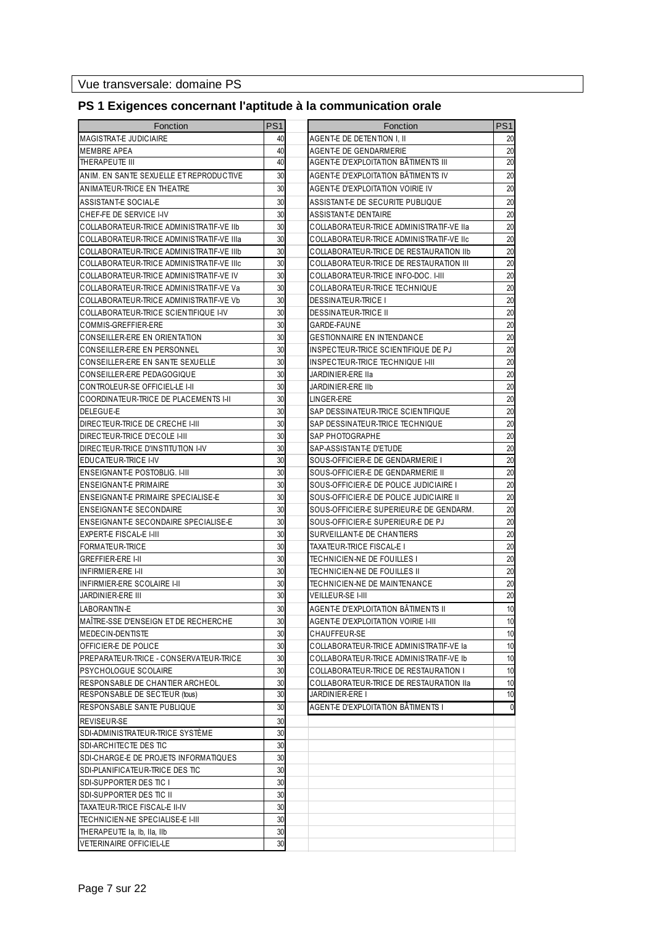#### **PS 1 Exigences concernant l'aptitude à la communication orale**

| Fonction                                   | PS <sub>1</sub> | Fonction                                                | PS <sub>1</sub> |
|--------------------------------------------|-----------------|---------------------------------------------------------|-----------------|
| <b>MAGISTRAT-E JUDICIAIRE</b>              | 40              | AGENT-E DE DETENTION I. II                              | 20              |
| <b>MEMBRE APEA</b>                         | 40              | AGENT-E DE GENDARMERIE                                  | 20              |
| THERAPEUTE III                             | 40              | AGENT-E D'EXPLOITATION BÂTIMENTS III                    | 20              |
| ANIM. EN SANTE SEXUELLE ET REPRODUCTIVE    | 30              | AGENT-E D'EXPLOITATION BÂTIMENTS IV                     | 20              |
| ANIMATEUR-TRICE EN THEATRE                 | 30              | AGENT-E D'EXPLOITATION VOIRIE IV                        | 20              |
| ASSISTANT-E SOCIAL-E                       | 30              | ASSISTANT-E DE SECURITE PUBLIQUE                        | 20              |
| CHEF-FE DE SERVICE I-IV                    | 30              | ASSISTANT-E DENTAIRE                                    | 20              |
| COLLABORATEUR-TRICE ADMINISTRATIF-VE IIb   | 30              | COLLABORATEUR-TRICE ADMINISTRATIF-VE IIa                | 20              |
| COLLABORATEUR-TRICE ADMINISTRATIF-VE IIIa  | 30              | COLLABORATEUR-TRICE ADMINISTRATIF-VE IIc                | 20              |
| COLLABORATEUR-TRICE ADMINISTRATIF-VE IIIb  | 30              | COLLABORATEUR-TRICE DE RESTAURATION IIb                 | 20              |
| COLLABORATEUR-TRICE ADMINISTRATIF-VE IIIc  | 30              | COLLABORATEUR-TRICE DE RESTAURATION III                 | 20              |
| COLLABORATEUR-TRICE ADMINISTRATIF-VE IV    | 30              | COLLABORATEUR-TRICE INFO-DOC. I-III                     | 20              |
| COLLABORATEUR-TRICE ADMINISTRATIF-VE Va    | 30              | COLLABORATEUR-TRICE TECHNIQUE                           | 20              |
| COLLABORATEUR-TRICE ADMINISTRATIF-VE Vb    | 30              | <b>DESSINATEUR-TRICE I</b>                              | 20              |
| COLLABORATEUR-TRICE SCIENTIFIQUE I-IV      | 30              | <b>DESSINATEUR-TRICE II</b>                             | 20              |
| COMMIS-GREFFIER-ERE                        | 30              | <b>GARDE-FAUNE</b>                                      | 20              |
| CONSEILLER-ERE EN ORIENTATION              | 30              | GESTIONNAIRE EN INTENDANCE                              | 20              |
| CONSEILLER-ERE EN PERSONNEL                | 30              | INSPECTEUR-TRICE SCIENTIFIQUE DE PJ                     | 20              |
| CONSEILLER-ERE EN SANTE SEXUELLE           | 30              | INSPECTEUR-TRICE TECHNIQUE I-III                        | 20              |
| CONSEILLER-ERE PEDAGOGIQUE                 | 30              | JARDINIER-ERE IIa                                       | 20              |
| CONTROLEUR-SE OFFICIEL-LE I-II             | 30              | JARDINIER-ERE IIb                                       | 20              |
| COORDINATEUR-TRICE DE PLACEMENTS I-II      | 30              | LINGER-ERE                                              | 20              |
| DELEGUE-E                                  | 30              | SAP DESSINATEUR-TRICE SCIENTIFIQUE                      | 20              |
| DIRECTEUR-TRICE DE CRECHE I-III            | 30              | SAP DESSINATEUR-TRICE TECHNIQUE                         | 20              |
| DIRECTEUR-TRICE D'ECOLE I-III              | 30              | SAP PHOTOGRAPHE                                         | 20              |
| DIRECTEUR-TRICE D'INSTITUTION I-IV         | 30              | SAP-ASSISTANT-E D'ETUDE                                 | 20              |
| EDUCATEUR-TRICE I-IV                       | 30              | SOUS-OFFICIER-E DE GENDARMERIE I                        | 20              |
| ENSEIGNANT-E POSTOBLIG. I-III              | 30              | SOUS-OFFICIER-E DE GENDARMERIE II                       | 20              |
| <b>ENSEIGNANT-E PRIMAIRE</b>               | 30              | SOUS-OFFICIER-E DE POLICE JUDICIAIRE I                  | 20              |
| ENSEIGNANT-E PRIMAIRE SPECIALISE-E         | 30              | SOUS-OFFICIER-E DE POLICE JUDICIAIRE II                 | 20              |
| ENSEIGNANT-E SECONDAIRE                    | 30              | SOUS-OFFICIER-E SUPERIEUR-E DE GENDARM.                 | 20              |
| ENSEIGNANTE SECONDAIRE SPECIALISE-E        | 30              | SOUS-OFFICIER-E SUPERIEUR-E DE PJ                       | 20              |
| EXPERT-E FISCAL-E I-III<br>FORMATEUR-TRICE | 30<br>30        | SURVEILLANT-E DE CHANTIERS<br>TAXATEUR-TRICE FISCAL-E I | 20<br>20        |
| <b>GREFFIER-ERE I-II</b>                   | 30              | TECHNICIEN-NE DE FOUILLES I                             | 20              |
| <b>INFIRMIER-ERE I-II</b>                  | 30              | TECHNICIEN-NE DE FOUILLES II                            | 20              |
| INFIRMIER-ERE SCOLAIRE I-II                | 30              | TECHNICIEN-NE DE MAINTENANCE                            | 20              |
| <b>JARDINIER-ERE III</b>                   | 30              | VEILLEUR-SE I-III                                       | 20              |
| LABORANTIN-E                               | 30              | AGENT-E D'EXPLOITATION BÂTIMENTS II                     | 10              |
| MAÎTRE-SSE D'ENSEIGN ET DE RECHERCHE       | 30              | AGENT-E D'EXPLOITATION VOIRIE I-III                     | 10              |
| MEDECIN-DENTISTE                           | 30              | CHAUFFEUR-SE                                            | 10              |
| OFFICIER-E DE POLICE                       | 30              | COLLABORATEUR-TRICE ADMINISTRATIF-VE la                 | 10              |
| PREPARATEUR-TRICE - CONSERVATEUR-TRICE     | 30              | COLLABORATEUR-TRICE ADMINISTRATIF-VE Ib                 | 10              |
| PSYCHOLOGUE SCOLAIRE                       | 30              | COLLABORATEUR-TRICE DE RESTAURATION I                   | 10              |
| RESPONSABLE DE CHANTIER ARCHEOL.           | 30              | COLLABORATEUR-TRICE DE RESTAURATION IIa                 | 10              |
| RESPONSABLE DE SECTEUR (tous)              | 30              | JARDINIER-ERE I                                         | 10              |
| RESPONSABLE SANTE PUBLIQUE                 | 30              | AGENT-E D'EXPLOITATION BÂTIMENTS I                      | $\mathbf 0$     |
| REVISEUR-SE                                | 30              |                                                         |                 |
| SDI-ADMINISTRATEUR-TRICE SYSTEME           | 30              |                                                         |                 |
| SDI-ARCHITECTE DES TIC                     | 30              |                                                         |                 |
| SDI-CHARGE-E DE PROJETS INFORMATIQUES      | 30              |                                                         |                 |
| SDI-PLANIFICATEUR-TRICE DES TIC            | 30              |                                                         |                 |
| SDI-SUPPORTER DES TIC I                    | 30              |                                                         |                 |
| SDI-SUPPORTER DES TIC II                   | 30              |                                                         |                 |
| TAXATEUR-TRICE FISCAL-E II-IV              | 30              |                                                         |                 |
| TECHNICIEN-NE SPECIALISE-E I-III           | 30              |                                                         |                 |
| THERAPEUTE Ia, Ib, IIa, IIb                | 30              |                                                         |                 |
| <b>VETERINAIRE OFFICIEL-LE</b>             | 30              |                                                         |                 |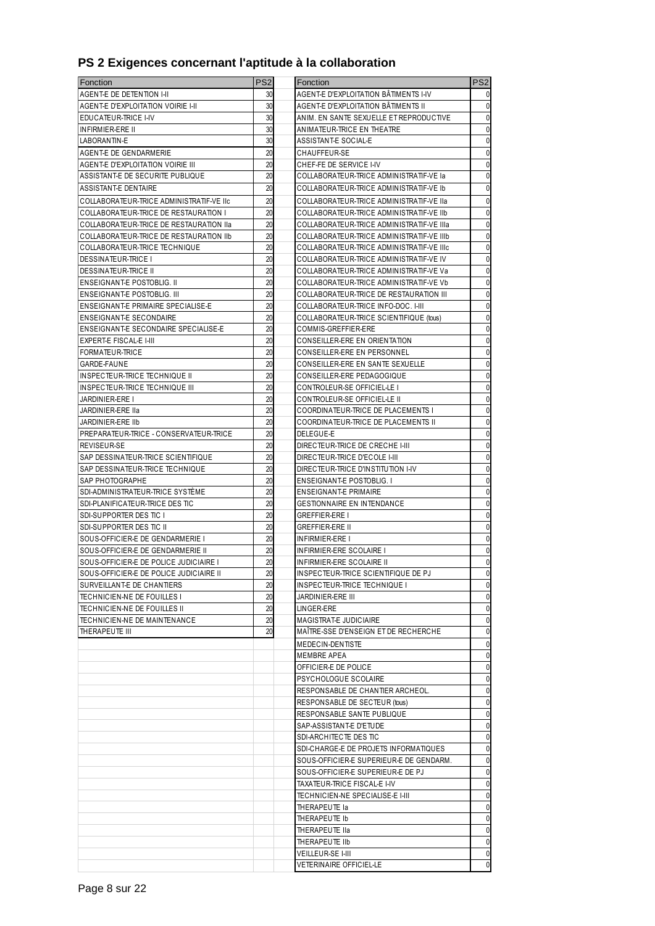### **PS 2 Exigences concernant l'aptitude à la collaboration**

| Fonction                                 | PS <sub>2</sub> | Fonction                                  | PS <sub>2</sub> |
|------------------------------------------|-----------------|-------------------------------------------|-----------------|
| AGENT-E DE DETENTION I-II                | 30              | AGENT-E D'EXPLOITATION BÂTIMENTS I-IV     |                 |
| AGENT-E D'EXPLOITATION VOIRIE I-II       | 30              | AGENT-E D'EXPLOITATION BĂTIMENTS II       |                 |
| <b>EDUCATEUR-TRICE I-IV</b>              | 30              | ANIM. EN SANTE SEXUELLE ET REPRODUCTIVE   | 0               |
| <b>INFIRMIER-ERE II</b>                  | 30              | ANIMATEUR-TRICE EN THEATRE                |                 |
| LABORANTIN-E                             | 30              | <b>ASSISTANT-E SOCIAL-E</b>               |                 |
| AGENT-E DE GENDARMERIE                   | 20              | CHAUFFEUR-SE                              | 0               |
| AGENT-E D'EXPLOITATION VOIRIE III        | 20              | CHEF-FE DE SERVICE I-IV                   | 0               |
| ASSISTANT-E DE SECURITE PUBLIQUE         | 20              | COLLABORATEUR-TRICE ADMINISTRATIF-VE la   |                 |
| ASSISTANT-E DENTAIRE                     | 20              | COLLABORATEUR-TRICE ADMINISTRATIF-VE Ib   |                 |
| COLLABORATEUR-TRICE ADMINISTRATIF-VE IIc | 20              | COLLABORATEUR-TRICE ADMINISTRATIF-VE IIa  | 0               |
| COLLABORATEUR-TRICE DE RESTAURATION I    | 20              | COLLABORATEUR-TRICE ADMINISTRATIF-VE IIb  | 0               |
|                                          |                 |                                           |                 |
| COLLABORATEUR-TRICE DE RESTAURATION IIa  | 20              | COLLABORATEUR-TRICE ADMINISTRATIF-VE IIIa | 0               |
| COLLABORATEUR-TRICE DE RESTAURATION IIb  | 20              | COLLABORATEUR-TRICE ADMINISTRATIF-VE IIIb | 0               |
| COLLABORATEUR-TRICE TECHNIQUE            | 20              | COLLABORATEUR-TRICE ADMINISTRATIF-VE IIIc | 0               |
| DESSINATEUR-TRICE I                      | 20              | COLLABORATEUR-TRICE ADMINISTRATIF-VE IV   | 0               |
| <b>DESSINATEUR-TRICE II</b>              | 20              | COLLABORATEUR-TRICE ADMINISTRATIF-VE Va   | 0               |
| <b>ENSEIGNANT-E POSTOBLIG. II</b>        | 20              | COLLABORATEUR-TRICE ADMINISTRATIF-VE Vb   | 0               |
| ENSEIGNANT-E POSTOBLIG. III              | 20              | COLLABORATEUR-TRICE DE RESTAURATION III   |                 |
| ENSEIGNANT-E PRIMAIRE SPECIALISE-E       | 20              | COLLABORATEUR-TRICE INFO-DOC. I-III       |                 |
| ENSEIGNANT-E SECONDAIRE                  | 20              | COLLABORATEUR-TRICE SCIENTIFIQUE (tous)   |                 |
| ENSEIGNANTE SECONDAIRE SPECIALISE-E      | 20              | COMMIS-GREFFIER-ERE                       |                 |
| EXPERT-E FISCAL-E I-III                  | 20              | CONSEILLER-ERE EN ORIENTATION             |                 |
| FORMATEUR-TRICE                          | 20              | CONSEILLER-ERE EN PERSONNEL               |                 |
| GARDE-FAUNE                              | 20              | CONSEILLER-ERE EN SANTE SEXUELLE          | 0               |
| INSPECTEUR-TRICE TECHNIQUE II            | 20              | CONSEILLER-ERE PEDAGOGIQUE                |                 |
| INSPECTEUR-TRICE TECHNIQUE III           | 20              | CONTROLEUR-SE OFFICIEL-LE I               |                 |
| JARDINIER-ERE I                          | 20              | CONTROLEUR-SE OFFICIEL-LE II              | 0               |
| JARDINIER-ERE IIa                        | 20              | COORDINATEUR-TRICE DE PLACEMENTS I        | 0               |
| JARDINIER-ERE IIb                        | 20              | COORDINATEUR-TRICE DE PLACEMENTS II       | 0               |
| PREPARATEUR-TRICE - CONSERVATEUR-TRICE   | 20              | DELEGUE-E                                 |                 |
| REVISEUR-SE                              | 20              | DIRECTEUR-TRICE DE CRECHE I-III           |                 |
| SAP DESSINATEUR-TRICE SCIENTIFIQUE       | 20              | DIRECTEUR-TRICE D'ECOLE I-III             | 0               |
| SAP DESSINATEUR-TRICE TECHNIQUE          | 20              | DIRECTEUR-TRICE D'INSTITUTION I-IV        |                 |
| SAP PHOTOGRAPHE                          | 20              | ENSEIGNANT-E POSTOBLIG. I                 |                 |
| SDI-ADMINISTRATEUR-TRICE SYSTÈME         | 20              | <b>ENSEIGNANT-E PRIMAIRE</b>              |                 |
| SDI-PLANIFICATEUR-TRICE DES TIC          | 20              | <b>GESTIONNAIRE EN INTENDANCE</b>         |                 |
| SDI-SUPPORTER DES TIC I                  | 20              | GREFFIER-ERE I                            |                 |
| SDI-SUPPORTER DES TIC II                 | 20              | <b>GREFFIER-ERE II</b>                    |                 |
| SOUS-OFFICIER-E DE GENDARMERIE I         | 20              | <b>INFIRMIER-ERE I</b>                    |                 |
| SOUS-OFFICIER-E DE GENDARMERIE II        | 20              | INFIRMIER-ERE SCOLAIRE I                  | 0               |
| SOUS-OFFICIER-E DE POLICE JUDICIAIRE I   | 20              | INFIRMIER-ERE SCOLAIRE II                 | 0               |
|                                          |                 |                                           |                 |
| SOUS-OFFICIER-E DE POLICE JUDICIAIRE II  | 20              | INSPECTEUR-TRICE SCIENTIFIQUE DE PJ       | 0               |
| SURVEILLANT-E DE CHANTIERS               | 20              | INSPECTEUR-TRICE TECHNIQUE I              | $\mathbf 0$     |
| TECHNICIEN-NE DE FOUILLES I              | 20              | JARDINIER-ERE III                         | 0               |
| TECHNICIEN-NE DE FOUILLES II             | 20              | LINGER-ERE                                | 0               |
| TECHNICIEN-NE DE MAINTENANCE             | 20              | MAGISTRAT-E JUDICIAIRE                    | 0               |
| THERAPEUTE III                           | 20              | MAÎTRE-SSE D'ENSEIGN ET DE RECHERCHE      | $\mathbf 0$     |
|                                          |                 | MEDECIN-DENTISTE                          | 0               |
|                                          |                 | <b>MEMBRE APEA</b>                        | $\mathbf{0}$    |
|                                          |                 | OFFICIER-E DE POLICE                      | 0               |
|                                          |                 | PSYCHOLOGUE SCOLAIRE                      | $\mathbf 0$     |
|                                          |                 | RESPONSABLE DE CHANTIER ARCHEOL.          | $\mathbf 0$     |
|                                          |                 | RESPONSABLE DE SECTEUR (tous)             | $\mathbf 0$     |
|                                          |                 | RESPONSABLE SANTE PUBLIQUE                | $\mathbf 0$     |
|                                          |                 | SAP-ASSISTANT-E D'ETUDE                   | 0               |
|                                          |                 | SDI-ARCHITECTE DES TIC                    | $\mathbf 0$     |
|                                          |                 | SDI-CHARGE-E DE PROJETS INFORMATIQUES     | $\mathbf 0$     |
|                                          |                 | SOUS-OFFICIER-E SUPERIEUR-E DE GENDARM.   | $\mathbf 0$     |
|                                          |                 | SOUS-OFFICIER-E SUPERIEUR-E DE PJ         | 0               |
|                                          |                 | TAXATEUR-TRICE FISCAL-E I-IV              | $\mathbf 0$     |
|                                          |                 | TECHNICIEN-NE SPECIALISE-E I-III          | 0               |
|                                          |                 | THERAPEUTE la                             | $\mathbf 0$     |
|                                          |                 | THERAPEUTE Ib                             | 0               |
|                                          |                 | THERAPEUTE IIa                            | 0               |
|                                          |                 | THERAPEUTE IIb                            | 0               |
|                                          |                 | VEILLEUR-SE I-III                         | $\mathbf 0$     |
|                                          |                 | VETERINAIRE OFFICIEL-LE                   | $\mathbf 0$     |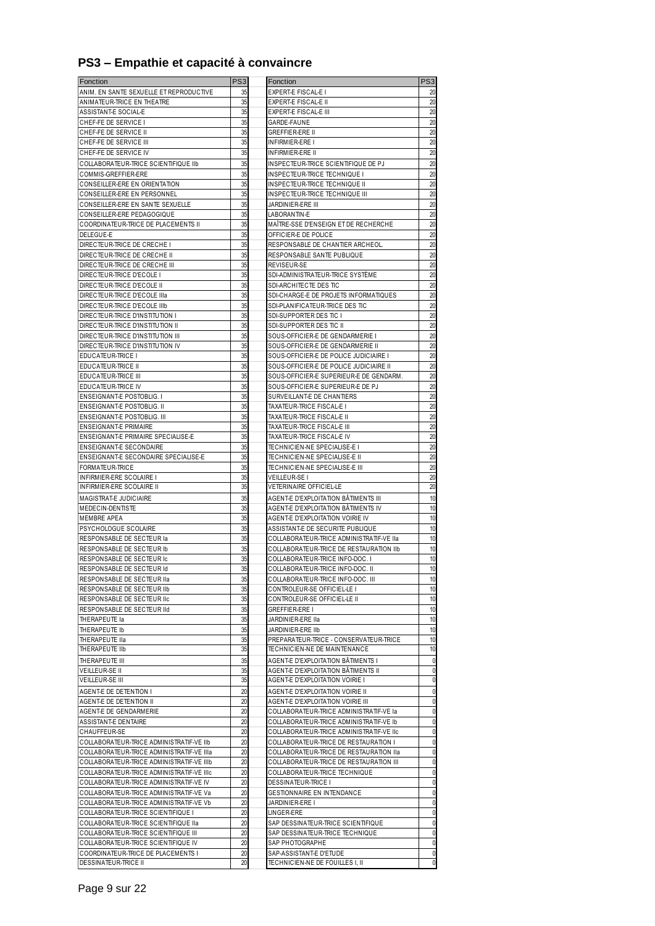### **PS3 – Empathie et capacité à convaincre**

| Fonction                                    | PS3 | Fonction                                 | PS3          |
|---------------------------------------------|-----|------------------------------------------|--------------|
| ANIM. EN SANTE SEXUELLE ET REPRODUCTIVE     | 35  | EXPERT-E FISCAL-E I                      | 20           |
| ANIMATEUR-TRICE EN THEATRE                  | 35  | EXPERT-E FISCAL-E II                     | 20           |
| ASSISTANT-E SOCIAL-E                        | 35  | EXPERT-E FISCAL-E III                    | 20           |
| CHEF-FE DE SERVICE I                        | 35  | GARDE-FAUNE                              | 20           |
|                                             |     |                                          |              |
| CHEF-FE DE SERVICE II                       | 35  | GREFFIER-ERE II                          | 20           |
| CHEF-FE DE SERVICE III                      | 35  | <b>INFIRMIER-ERE I</b>                   | 20           |
| CHEF-FE DE SERVICE IV                       | 35  | <b>INFIRMIER-ERE II</b>                  | 20           |
| COLLABORATEUR-TRICE SCIENTIFIQUE IIb        | 35  | INSPECTEUR-TRICE SCIENTIFIQUE DE PJ      | 20           |
| COMMIS-GREFFIER-ERE                         | 35  | INSPECTEUR-TRICE TECHNIQUE I             | 20           |
|                                             |     |                                          |              |
| CONSEILLER-ERE EN ORIENTATION               | 35  | INSPECTEUR-TRICE TECHNIQUE II            | 20           |
| CONSEILLER-ERE EN PERSONNEL                 | 35  | INSPECTEUR-TRICE TECHNIQUE III           | 20           |
| CONSEILLER-ERE EN SANTE SEXUELLE            | 35  | JARDINIER-ERE III                        | 20           |
| CONSEILLER-ERE PEDAGOGIQUE                  | 35  | LABORANTIN-E                             | 20           |
| COORDINATEUR-TRICE DE PLACEMENTS II         | 35  | MAÎTRE-SSE D'ENSEIGN ET DE RECHERCHE     | 20           |
| DELEGUE-E                                   | 35  | OFFICIER-E DE POLICE                     | 20           |
| DIRECTEUR-TRICE DE CRECHE I                 | 35  | RESPONSABLE DE CHANTIER ARCHEOL.         | 20           |
|                                             |     |                                          |              |
| DIRECTEUR-TRICE DE CRECHE II                | 35  | RESPONSABLE SANTE PUBLIQUE               | 20           |
| DIRECTEUR-TRICE DE CRECHE III               | 35  | REVISEUR-SE                              | 20           |
| DIRECTEUR-TRICE D'ECOLE I                   | 35  | SDI-ADMINISTRATEUR-TRICE SYSTEME         | 20           |
| DIRECTEUR-TRICE D'ECOLE II                  | 35  | SDI-ARCHITECTE DES TIC                   | 20           |
| DIRECTEUR-TRICE D'ECOLE IIIa                | 35  | SDI-CHARGE-E DE PROJETS INFORMATIQUES    | 20           |
| DIRECTEUR-TRICE D'ECOLE IIIb                | 35  | SDI-PLANIFICATEUR-TRICE DES TIC          | 20           |
| DIRECTEUR-TRICE D'INSTITUTION I             | 35  | SDI-SUPPORTER DES TIC I                  | 20           |
| DIRECTEUR-TRICE D'INSTITUTION II            | 35  | SDI-SUPPORTER DES TIC II                 | 20           |
|                                             |     |                                          |              |
| DIRECTEUR-TRICE D'INSTITUTION III           | 35  | SOUS-OFFICIER-E DE GENDARMERIE I         | 20           |
| DIRECTEUR-TRICE D'INSTITUTION IV            | 35  | SOUS-OFFICIER-E DE GENDARMERIE II        | 20           |
| EDUCATEUR-TRICE I                           | 35  | SOUS-OFFICIER-E DE POLICE JUDICIAIRE I   | 20           |
| <b>EDUCATEUR-TRICE II</b>                   | 35  | SOUS-OFFICIER-E DE POLICE JUDICIAIRE II  | 20           |
| <b>EDUCATEUR-TRICE III</b>                  | 35  | SOUS-OFFICIER-E SUPERIEUR-E DE GENDARM.  | 20           |
| <b>EDUCATEUR-TRICE IV</b>                   | 35  | SOUS-OFFICIER-E SUPERIEUR-E DE PJ        | 20           |
| ENSEIGNANT-E POSTOBLIG. I                   | 35  | SURVEILLANT-E DE CHANTIERS               | 20           |
|                                             | 35  |                                          | 20           |
| <b>ENSEIGNANT-E POSTOBLIG. II</b>           |     | TAXATEUR-TRICE FISCAL-E I                |              |
| ENSEIGNANT-E POSTOBLIG. III                 | 35  | TAXATEUR-TRICE FISCAL-E II               | 20           |
| <b>ENSEIGNANT-E PRIMAIRE</b>                | 35  | TAXATEUR-TRICE FISCAL-E III              | 20           |
| <b>ENSEIGNANT-E PRIMAIRE SPECIALISE-E</b>   | 35  | TAXATEUR-TRICE FISCAL-E IV               | 20           |
| ENSEIGNANT-E SECONDAIRE                     | 35  | TECHNICIEN-NE SPECIALISE-E I             | 20           |
| <b>ENSEIGNANT-E SECONDAIRE SPECIALISE-E</b> | 35  | TECHNICIEN-NE SPECIALISE-E II            | 20           |
| FORMATEUR-TRICE                             | 35  | TECHNICIEN-NE SPECIALISE-E III           | 20           |
| INFIRMIER-ERE SCOLAIRE I                    | 35  | VEILLEUR-SE I                            | 20           |
|                                             |     |                                          |              |
| <b>INFIRMIER-ERE SCOLAIRE II</b>            | 35  | VETERINAIRE OFFICIEL-LE                  | 20           |
| <b>MAGISTRAT-E JUDICIAIRE</b>               | 35  | AGENT-E D'EXPLOITATION BÂTIMENTS III     | 10           |
| MEDECIN-DENTISTE                            | 35  | AGENT-E D'EXPLOITATION ΒÂΤΙΜΕΝΤS IV      | 10           |
| <b>MEMBRE APEA</b>                          | 35  | AGENT-E D'EXPLOITATION VOIRIE IV         | 10           |
| <b>PSYCHOLOGUE SCOLAIRE</b>                 | 35  | ASSISTANT-E DE SECURITE PUBLIQUE         | 10           |
| RESPONSABLE DE SECTEUR la                   | 35  | COLLABORATEUR-TRICE ADMINISTRATIF-VE IIa | 10           |
| RESPONSABLE DE SECTEUR Ib                   | 35  | COLLABORATEUR-TRICE DE RESTAURATION IIb  | 10           |
|                                             | 35  |                                          | 10           |
| RESPONSABLE DE SECTEUR Ic                   |     | COLLABORATEUR-TRICE INFO-DOC. I          |              |
| RESPONSABLE DE SECTEUR Id                   | 35  | COLLABORATEUR-TRICE INFO-DOC. II         | 10           |
| RESPONSABLE DE SECTEUR IIa                  | 35  | COLLABORATEUR-TRICE INFO-DOC. III        | 10           |
| RESPONSABLE DE SECTEUR IIb                  | 35  | CONTROLEUR-SE OFFICIEL-LE I              | 10           |
| RESPONSABLE DE SECTEUR IIc                  | 35  | CONTROLEUR-SE OFFICIEL-LE II             | 10           |
| RESPONSABLE DE SECTEUR IId                  | 35  | GREFFIER-ERE I                           | 10           |
| THERAPEUTE la                               | 35  | JARDINIER-ERE IIa                        | 10           |
| THERAPEUTE Ib                               | 35  | JARDINIER-ERE IIb                        | 10           |
| THERAPEUTE IIa                              | 35  | PREPARATEUR-TRICE - CONSERVATEUR-TRICE   | 10           |
| THERAPEUTE IIb                              |     |                                          |              |
|                                             | 35  | TECHNICIEN-NE DE MAINTENANCE             | 10           |
| THERAPEUTE III                              | 35  | AGENT-E D'EXPLOITATION BÂTIMENTS I       | 0            |
| <b>VEILLEUR-SE II</b>                       | 35  | AGENT-E D'EXPLOITATION BÂTIMENTS II      | 0            |
| <b>VEILLEUR-SE III</b>                      | 35  | <b>AGENT-E D'EXPLOITATION VOIRIE I</b>   | 0            |
| AGENT-E DE DETENTION I                      | 20  | AGENT-E D'EXPLOITATION VOIRIE II         | 0            |
| AGENT-E DE DETENTION II                     | 20  | AGENT-E D'EXPLOITATION VOIRIE III        | 0            |
| AGENT-E DE GENDARMERIE                      | 20  | COLLABORATEUR-TRICE ADMINISTRATIF-VE la  | 0            |
|                                             |     |                                          |              |
| ASSISTANT-E DENTAIRE                        | 20  | COLLABORATEUR-TRICE ADMINISTRATIF-VE Ib  | 0            |
| CHAUFFEUR-SE                                | 20  | COLLABORATEUR-TRICE ADMINISTRATIF-VE IIc | $\mathbf{0}$ |
| COLLABORATEUR-TRICE ADMINISTRATIF-VE IIb    | 20  | COLLABORATEUR-TRICE DE RESTAURATION I    | $\mathbf 0$  |
| COLLABORATEUR-TRICE ADMINISTRATIF-VE IIIa   | 20  | COLLABORATEUR-TRICE DE RESTAURATION IIa  | 0            |
| COLLABORATEUR-TRICE ADMINISTRATIF-VE IIIb   | 20  | COLLABORATEUR-TRICE DE RESTAURATION III  | $\mathbf 0$  |
| COLLABORATEUR-TRICE ADMINISTRATIF-VE IIIc   | 20  | COLLABORATEUR-TRICE TECHNIQUE            | 0            |
| COLLABORATEUR-TRICE ADMINISTRATIF-VE IV     | 20  | DESSINATEUR-TRICE I                      | 0            |
| COLLABORATEUR-TRICE ADMINISTRATIF-VE Va     | 20  | <b>GESTIONNAIRE EN INTENDANCE</b>        | 0            |
|                                             |     |                                          |              |
| COLLABORATEUR-TRICE ADMINISTRATIF-VE Vb     | 20  | JARDINIER-ERE I                          | 0            |
| COLLABORATEUR-TRICE SCIENTIFIQUE I          | 20  | LINGER-ERE                               | 0            |
| COLLABORATEUR-TRICE SCIENTIFIQUE IIa        | 20  | SAP DESSINATEUR-TRICE SCIENTIFIQUE       | 0            |
| COLLABORATEUR-TRICE SCIENTIFIQUE III        | 20  | SAP DESSINATEUR-TRICE TECHNIQUE          | 0            |
| COLLABORATEUR-TRICE SCIENTIFIQUE IV         | 20  | SAP PHOTOGRAPHE                          | 0            |
| COORDINATEUR-TRICE DE PLACEMENTS I          | 20  | SAP-ASSISTANT-E D'ETUDE                  | 0            |
| DESSINATEUR-TRICE II                        | 20  | TECHNICIEN-NE DE FOUILLES I, II          | 0            |
|                                             |     |                                          |              |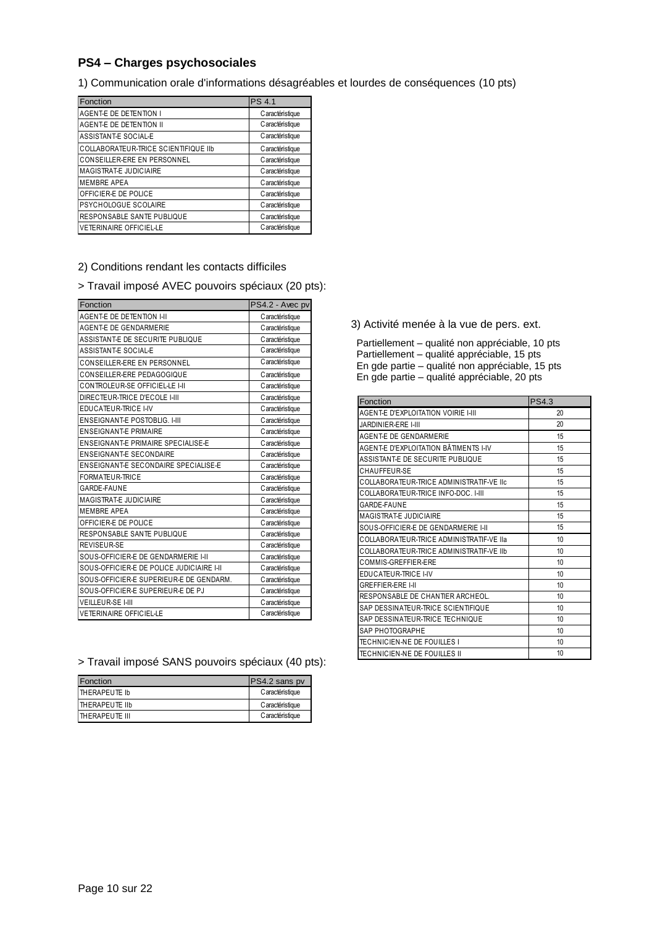#### **PS4 – Charges psychosociales**

1) Communication orale d'informations désagréables et lourdes de conséquences (10 pts)

| Fonction                             | <b>PS 4.1</b>   |
|--------------------------------------|-----------------|
| AGENT-E DE DETENTION I               | Caractéristique |
| AGENT-E DE DETENTION II              | Caractéristique |
| ASSISTANT-E SOCIAL-E                 | Caractéristique |
| COLLABORATEUR-TRICE SCIENTIFIQUE IIb | Caractéristique |
| CONSEILLER-ERE EN PERSONNEL          | Caractéristique |
| <b>MAGISTRAT-E JUDICIAIRE</b>        | Caractéristique |
| <b>MEMBRE APEA</b>                   | Caractéristique |
| OFFICIER-E DE POLICE                 | Caractéristique |
| PSYCHOLOGUE SCOLAIRE                 | Caractéristique |
| RESPONSABLE SANTE PUBLIQUE           | Caractéristique |
| <b>VETERINAIRE OFFICIEL-LE</b>       | Caractéristique |

#### 2) Conditions rendant les contacts difficiles

> Travail imposé AVEC pouvoirs spéciaux (20 pts):

| Fonction                                  | PS4.2 - Avec pv  |
|-------------------------------------------|------------------|
| AGENT-E DE DETENTION I-II                 | Caractéristique  |
| AGENT-E DE GENDARMERIE                    | Caractéristique  |
| ASSISTANT-E DE SECURITE PUBLIQUE          | Caractéristique  |
| ASSISTANT-E SOCIAL-E                      | Caractéristique  |
| CONSEILLER-ERE EN PERSONNEL               | Caractéristique  |
| CONSEILLER-ERE PEDAGOGIQUE                | C aractéristique |
| CONTROLEUR-SE OFFICIEL-LE I-II            | Caractéristique  |
| DIRECTEUR-TRICE D'ECOLE I-III             | C aractéristique |
| <b>EDUCATEUR-TRICE I-IV</b>               | C aractéristique |
| ENSEIGNANT-E POSTOBLIG. I-III             | C aractéristique |
| <b>ENSEIGNANT-E PRIMAIRE</b>              | Caractéristique  |
| <b>ENSEIGNANT-E PRIMAIRE SPECIALISE-E</b> | C aractéristique |
| ENSEIGNANT-E SECONDAIRE                   | Caractéristique  |
| ENSEIGNANT-E SECONDAIRE SPECIALISE-E      | C aractéristique |
| FORMATEUR-TRICE                           | Caractéristique  |
| <b>GARDE-FAUNE</b>                        | C aractéristique |
| MAGISTRAT-E JUDICIAIRE                    | C aractéristique |
| <b>MEMBRE APEA</b>                        | Caractéristique  |
| OFFICIER-E DE POLICE                      | C aractéristique |
| RESPONSABLE SANTE PUBLIQUE                | C aractéristique |
| REVISEUR-SE                               | C aractéristique |
| SOUS-OFFICIER-E DE GENDARMERIE I-II       | C aractéristique |
| SOUS-OFFICIER-E DE POLICE JUDICIAIRE I-II | Caractéristique  |
| SOUS-OFFICIER-E SUPERIEUR-E DE GENDARM.   | Caractéristique  |
| SOUS-OFFICIER-E SUPERIEUR-E DE PJ         | Caractéristique  |
| <b>VEILLEUR-SE I-III</b>                  | Caractéristique  |
| <b>VETERINAIRE OFFICIEL-LE</b>            | Caractéristique  |

> Travail imposé SANS pouvoirs spéciaux (40 pts):

| <b>Fonction</b>        | PS4.2 sans pv   |
|------------------------|-----------------|
| <b>THERAPEUTE Ib</b>   | Caractéristique |
| <b>ITHERAPEUTE IIb</b> | Caractéristique |
| <b>THERAPEUTE III</b>  | Caractéristique |

3) Activité menée à la vue de pers. ext.

 Partiellement – qualité non appréciable, 10 pts Partiellement – qualité appréciable, 15 pts En gde partie – qualité non appréciable, 15 pts En gde partie – qualité appréciable, 20 pts

| Fonction                                 | <b>PS4.3</b> |
|------------------------------------------|--------------|
| AGENT-E D'EXPLOITATION VOIRIE I-III      | 20           |
| <b>JARDINIER-ERE I-III</b>               | 20           |
| AGENT-E DE GENDARMERIE                   | 15           |
| AGENT-E D'EXPLOITATION BÂTIMENTS I-IV    | 15           |
| ASSISTANT-E DE SECURITE PUBLIQUE         | 15           |
| CHAUFFEUR-SE                             | 15           |
| COLLABORATEUR-TRICE ADMINISTRATIF-VE IIc | 15           |
| COLLABORATEUR-TRICE INFO-DOC. I-III      | 15           |
| <b>GARDE-FAUNE</b>                       | 15           |
| MAGISTRAT-E JUDICIAIRE                   | 15           |
| SOUS-OFFICIER-E DE GENDARMERIE I-II      | 15           |
| COLLABORATEUR-TRICE ADMINISTRATIF-VE IIa | 10           |
| COLLABORATEUR-TRICE ADMINISTRATIF-VE IIb | 10           |
| COMMIS-GREFFIER-ERE                      | 10           |
| EDUCATEUR-TRICE I-IV                     | 10           |
| <b>GREFFIER-ERE I-II</b>                 | 10           |
| RESPONSABLE DE CHANTIER ARCHEOL.         | 10           |
| SAP DESSINATEUR-TRICE SCIENTIFIQUE       | 10           |
| SAP DESSINATEUR-TRICE TECHNIQUE          | 10           |
| SAP PHOTOGRAPHE                          | 10           |
| TECHNICIEN-NE DE FOUILLES I              | 10           |
| TECHNICIEN-NE DE FOUILLES II             | 10           |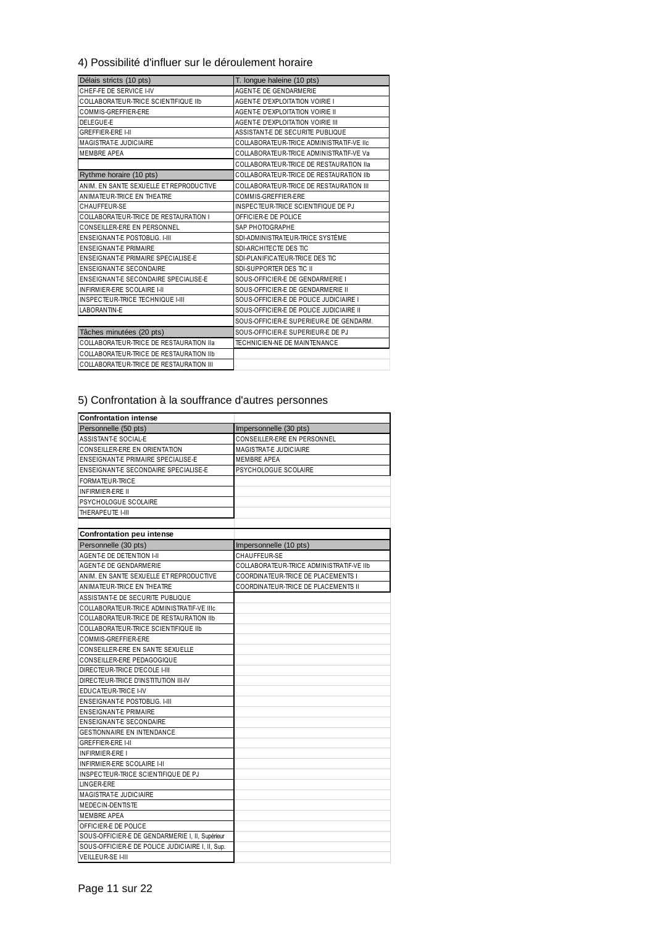#### 4) Possibilité d'influer sur le déroulement horaire

| Délais stricts (10 pts)                 | T. longue haleine (10 pts)               |
|-----------------------------------------|------------------------------------------|
| CHEF-FE DE SERVICE I-IV                 | AGENT-E DE GENDARMERIE                   |
| COLLABORATEUR-TRICE SCIENTIFIQUE IIb    | <b>AGENT-E D'EXPLOITATION VOIRIE I</b>   |
| COMMIS-GREFFIER-ERE                     | AGENT-E D'EXPLOITATION VOIRIE II         |
| DELEGUE-E                               | AGENT-E D'EXPLOITATION VOIRIE III        |
| <b>GREFFIER-ERE I-II</b>                | ASSISTANT-E DE SECURITE PUBLIQUE         |
| <b>MAGISTRAT-E JUDICIAIRE</b>           | COLLABORATEUR-TRICE ADMINISTRATIF-VE IIc |
| <b>MEMBRE APEA</b>                      | COLLABORATEUR-TRICE ADMINISTRATIF-VE Va  |
|                                         | COLLABORATEUR-TRICE DE RESTAURATION IIa  |
| Rythme horaire (10 pts)                 | COLLABORATEUR-TRICE DE RESTAURATION IIb  |
| ANIM. EN SANTE SEXUELLE ET REPRODUCTIVE | COLLABORATEUR-TRICE DE RESTAURATION III  |
| ANIMATEUR-TRICE EN THEATRE              | COMMIS-GREFFIER-ERE                      |
| CHAUFFEUR-SE                            | INSPECTEUR-TRICE SCIENTIFIQUE DE PJ      |
| COLLABORATEUR-TRICE DE RESTAURATION I   | OFFICIER-E DE POLICE                     |
| CONSEILLER-ERE EN PERSONNEL             | SAP PHOTOGRAPHE                          |
| ENSEIGNANT-E POSTOBLIG. I-III           | SDI-ADMINISTRATEUR-TRICE SYSTÈME         |
| <b>ENSEIGNANT-E PRIMAIRE</b>            | SDI-ARCHITECTE DES TIC                   |
| ENSEIGNANT-E PRIMAIRE SPECIALISE-E      | SDI-PLANIFICATEUR-TRICE DES TIC          |
| ENSEIGNANT-E SECONDAIRE                 | SDI-SUPPORTER DES TIC II                 |
| ENSEIGNANT-E SECONDAIRE SPECIALISE-E    | SOUS-OFFICIER-E DE GENDARMERIE I         |
| INFIRMIER-ERE SCOLAIRE I-II             | SOUS-OFFICIER-E DE GENDARMERIE II        |
| INSPECTEUR-TRICE TECHNIQUE I-III        | SOUS-OFFICIER-E DE POLICE JUDICIAIRE I   |
| LABORANTIN-E                            | SOUS-OFFICIER-E DE POLICE JUDICIAIRE II  |
|                                         | SOUS-OFFICIER-E SUPERIEUR-E DE GENDARM.  |
| Tâches minutées (20 pts)                | SOUS-OFFICIER-E SUPERIEUR-E DE PJ        |
| COLLABORATEUR-TRICE DE RESTAURATION IIa | TECHNICIEN-NE DE MAINTENANCE             |
| COLLABORATEUR-TRICE DE RESTAURATION IIb |                                          |
| COLLABORATEUR-TRICE DE RESTAURATION III |                                          |

#### 5) Confrontation à la souffrance d'autres personnes

| <b>Confrontation intense</b>                     |                                          |
|--------------------------------------------------|------------------------------------------|
| Personnelle (50 pts)                             | Impersonnelle (30 pts)                   |
| ASSISTANT-E SOCIAL-E                             | CONSEILLER-ERE EN PERSONNEL              |
| CONSEILLER-ERE EN ORIENTATION                    | MAGISTRAT-E JUDICIAIRE                   |
| ENSEIGNANT-E PRIMAIRE SPECIALISE-E               | <b>MEMBRE APEA</b>                       |
| ENSEIGNANT-E SECONDAIRE SPECIALISE-E             | PSYCHOLOGUE SCOLAIRE                     |
| FORMATEUR-TRICE                                  |                                          |
| <b>INFIRMIER-ERE II</b>                          |                                          |
| PSYCHOLOGUE SCOLAIRE                             |                                          |
| THERAPEUTE I-III                                 |                                          |
|                                                  |                                          |
| <b>Confrontation peu intense</b>                 |                                          |
| Personnelle (30 pts)                             | Impersonnelle (10 pts)                   |
| <b>AGENT-E DE DETENTION I-II</b>                 | CHAUFFEUR-SE                             |
| AGENT-E DE GENDARMERIE                           | COLLABORATEUR-TRICE ADMINISTRATIF-VE IIb |
| ANIM. EN SANTE SEXUELLE ET REPRODUCTIVE          | COORDINATEUR-TRICE DE PLACEMENTS I       |
| ANIMATEUR-TRICE EN THEATRE                       | COORDINATEUR-TRICE DE PLACEMENTS II      |
| ASSISTANT-E DE SECURITE PUBLIQUE                 |                                          |
| COLLABORATEUR-TRICE ADMINISTRATIF-VE IIIc        |                                          |
| COLLABORATEUR-TRICE DE RESTAURATION IIb          |                                          |
| COLLABORATEUR-TRICE SCIENTIFIQUE IIb             |                                          |
| COMMIS-GREFFIER-ERE                              |                                          |
| CONSEILLER-ERE EN SANTE SEXUELLE                 |                                          |
| CONSEILLER-ERE PEDAGOGIQUE                       |                                          |
| DIRECTEUR-TRICE D'ECOLE I-III                    |                                          |
| DIRECTEUR-TRICE D'INSTITUTION III-IV             |                                          |
| EDUCATEUR-TRICE I-IV                             |                                          |
| ENSEIGNANT-E POSTOBLIG. I-III                    |                                          |
| <b>ENSEIGNANT-E PRIMAIRE</b>                     |                                          |
| ENSEIGNANT-E SECONDAIRE                          |                                          |
| GESTIONNAIRE EN INTENDANCE                       |                                          |
| GREFFIER-ERE I-II                                |                                          |
| INFIRMIER-ERE I                                  |                                          |
| INFIRMIER-ERE SCOLAIRE I-II                      |                                          |
| INSPECTEUR-TRICE SCIENTIFIQUE DE PJ              |                                          |
| LINGER-ERE                                       |                                          |
| MAGISTRAT-E JUDICIAIRE                           |                                          |
| MEDECIN-DENTISTE                                 |                                          |
| <b>MEMBRE APEA</b>                               |                                          |
| OFFICIER-E DE POLICE                             |                                          |
| SOUS-OFFICIER-E DE GENDARMERIE I, II, Supérieur  |                                          |
| SOUS-OFFICIER-E DE POLICE JUDICIAIRE I, II, Sup. |                                          |
| VEILLEUR-SE I-III                                |                                          |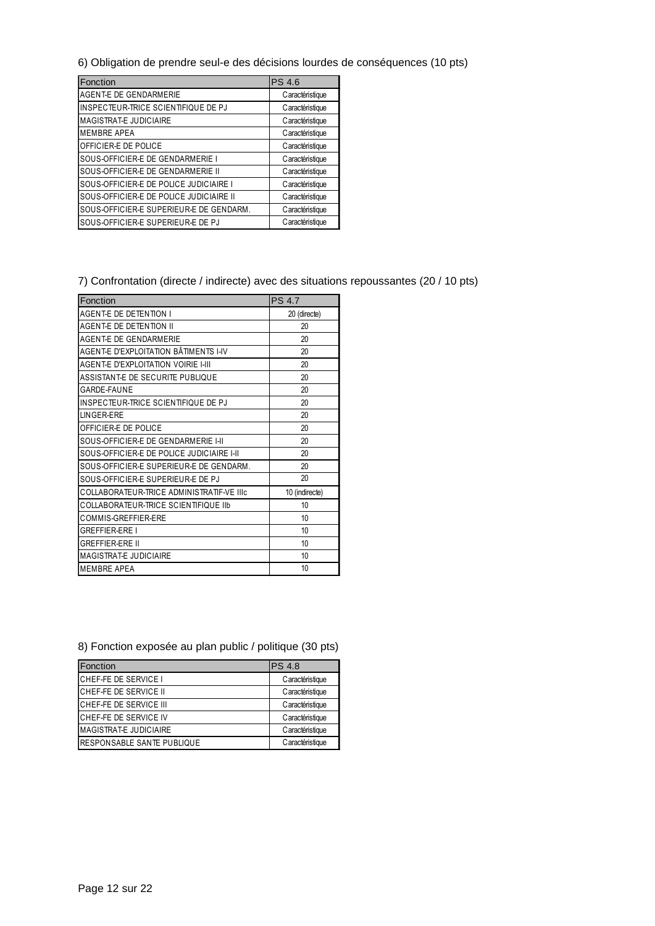6) Obligation de prendre seul-e des décisions lourdes de conséquences (10 pts)

| Fonction                                | <b>PS 4.6</b>   |
|-----------------------------------------|-----------------|
| <b>AGENT-E DE GENDARMERIE</b>           | Caractéristique |
| INSPECTEUR-TRICE SCIENTIFIQUE DE PJ     | Caractéristique |
| <b>MAGISTRAT-E JUDICIAIRE</b>           | Caractéristique |
| <b>MEMBRE APEA</b>                      | Caractéristique |
| <b>OFFICIER-E DE POLICE</b>             | Caractéristique |
| SOUS-OFFICIER-E DE GENDARMERIE I        | Caractéristique |
| SOUS-OFFICIER-E DE GENDARMERIE II       | Caractéristique |
| SOUS-OFFICIER-E DE POLICE JUDICIAIRE I  | Caractéristique |
| SOUS-OFFICIER-E DE POLICE JUDICIAIRE II | Caractéristique |
| SOUS-OFFICIER-E SUPERIEUR-E DE GENDARM. | Caractéristique |
| SOUS-OFFICIER-E SUPERIEUR-E DE PJ       | Caractéristique |

#### 7) Confrontation (directe / indirecte) avec des situations repoussantes (20 / 10 pts)

| Fonction                                   | <b>PS 4.7</b>  |
|--------------------------------------------|----------------|
| <b>AGENT-E DE DETENTION I</b>              | 20 (directe)   |
| AGENT-E DE DETENTION II                    | 20             |
| AGENT-E DE GENDARMERIE                     | 20             |
| AGENT-E D'EXPLOITATION BÂTIMENTS I-IV      | 20             |
| <b>AGENT-E D'EXPLOITATION VOIRIE I-III</b> | 20             |
| ASSISTANT-E DE SECURITE PUBLIQUE           | 20             |
| GARDE-FAUNE                                | 20             |
| INSPECTEUR-TRICE SCIENTIFIQUE DE PJ        | 20             |
| LINGER-ERE                                 | 20             |
| OFFICIER-E DE POLICE                       | 20             |
| SOUS-OFFICIER-E DE GENDARMERIE I-II        | 20             |
| SOUS-OFFICIER-E DE POLICE JUDICIAIRE I-II  | 20             |
| SOUS-OFFICIER-E SUPERIEUR-E DE GENDARM.    | 20             |
| SOUS-OFFICIER-E SUPERIEUR-E DE PJ          | 20             |
| COLLABORATEUR-TRICE ADMINISTRATIF-VE IIIc  | 10 (indirecte) |
| COLLABORATEUR-TRICE SCIENTIFIQUE IIb       | 10             |
| COMMIS-GREFFIER-ERE                        | 10             |
| <b>GREFFIER-ERE I</b>                      | 10             |
| <b>GREFFIER-ERE II</b>                     | 10             |
| <b>MAGISTRAT-E JUDICIAIRE</b>              | 10             |
| <b>MEMBRE APEA</b>                         | 10             |

8) Fonction exposée au plan public / politique (30 pts)

| Fonction                          | <b>PS 4.8</b>   |
|-----------------------------------|-----------------|
| CHEF-FE DE SERVICE I              | Caractéristique |
| CHEF-FE DE SERVICE II             | Caractéristique |
| CHEF-FE DE SERVICE III            | Caractéristique |
| CHEF-FE DE SERVICE IV             | Caractéristique |
| <b>MAGISTRAT-E JUDICIAIRE</b>     | Caractéristique |
| <b>RESPONSABLE SANTE PUBLIQUE</b> | Caractéristique |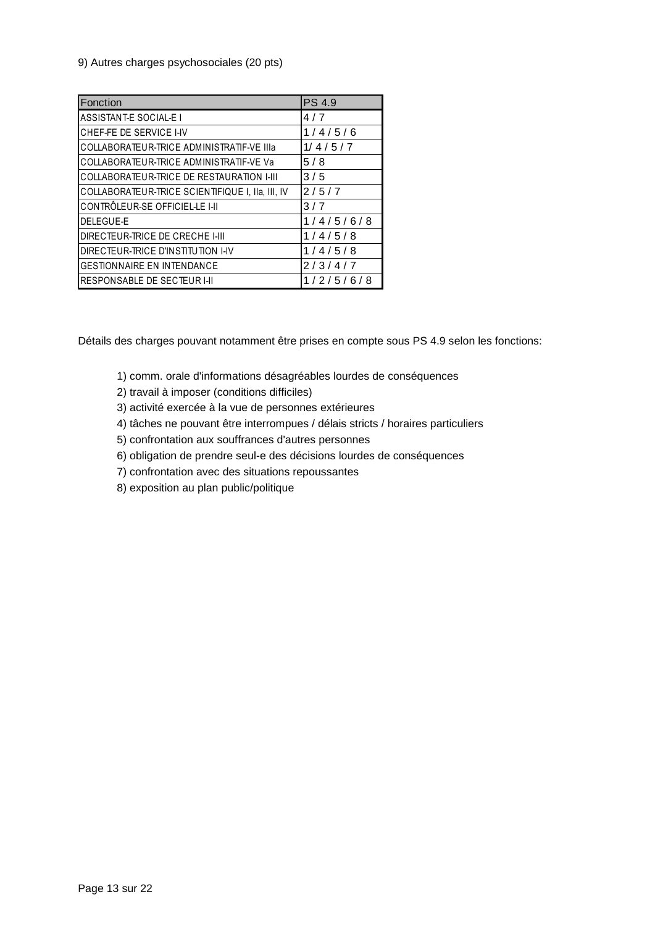9) Autres charges psychosociales (20 pts)

| Fonction                                         | <b>PS 4.9</b> |
|--------------------------------------------------|---------------|
| ASSISTANT-E SOCIAL-E I                           | 4/7           |
| CHEF-FE DE SERVICE I-IV                          | 1/4/5/6       |
| COLLABORATEUR-TRICE ADMINISTRATIF-VE IIIa        | 1/4/5/7       |
| COLLABORATEUR-TRICE ADMINISTRATIF-VE Va          | 5/8           |
| COLLABORATEUR-TRICE DE RESTAURATION I-III        | 3/5           |
| COLLABORATEUR-TRICE SCIENTIFIQUE I, IIa, III, IV | 2/5/7         |
| CONTRÔLEUR-SE OFFICIEL-LE I-II                   | 3/7           |
| DELEGUE-E                                        | 1/4/5/6/8     |
| DIRECTEUR-TRICE DE CRECHE I-III                  | 1/4/5/8       |
| DIRECTEUR-TRICE D'INSTITUTION I-IV               | 1/4/5/8       |
| <b>GESTIONNAIRE EN INTENDANCE</b>                | 2/3/4/7       |
| RESPONSABLE DE SECTEUR I-II                      | 1/2/5/6/8     |

Détails des charges pouvant notamment être prises en compte sous PS 4.9 selon les fonctions:

- 1) comm. orale d'informations désagréables lourdes de conséquences
- 2) travail à imposer (conditions difficiles)
- 3) activité exercée à la vue de personnes extérieures
- 4) tâches ne pouvant être interrompues / délais stricts / horaires particuliers
- 5) confrontation aux souffrances d'autres personnes
- 6) obligation de prendre seul-e des décisions lourdes de conséquences
- 7) confrontation avec des situations repoussantes
- 8) exposition au plan public/politique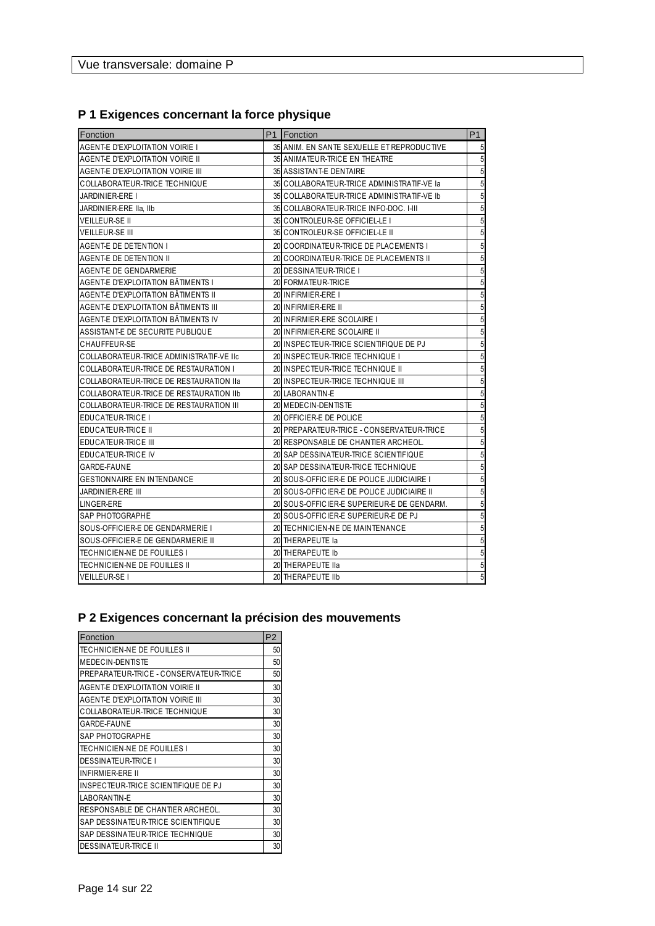#### **P 1 Exigences concernant la force physique**

| Fonction                                 | P1 Fonction                                | P1 |
|------------------------------------------|--------------------------------------------|----|
| <b>AGENT-E D'EXPLOITATION VOIRIE I</b>   | 35 ANIM. EN SANTE SEXUELLE ET REPRODUCTIVE |    |
| AGENT-E D'EXPLOITATION VOIRIE II         | 35 ANIMATEUR-TRICE EN THEATRE              | 5  |
| <b>AGENT-E D'EXPLOITATION VOIRIE III</b> | 35 ASSISTANT-E DENTAIRE                    | 5  |
| COLLABORATEUR-TRICE TECHNIQUE            | 35 COLLABORATEUR-TRICE ADMINISTRATIF-VE la | 5  |
| JARDINIER-ERE I                          | 35 COLLABORATEUR-TRICE ADMINISTRATIF-VE Ib | 5  |
| JARDINIER-ERE IIa, IIb                   | 35 COLLABORATEUR-TRICE INFO-DOC. I-III     | 5  |
| <b>VEILLEUR-SE II</b>                    | 35 CONTROLEUR-SE OFFICIEL-LE I             | 5  |
| <b>VEILLEUR-SE III</b>                   | 35 CONTROLEUR-SE OFFICIEL-LE II            |    |
| AGENT-E DE DETENTION I                   | 20 COORDINATEUR-TRICE DE PLACEMENTS I      | 5  |
| AGENT-E DE DETENTION II                  | 20 COORDINATEUR-TRICE DE PLACEMENTS II     | 5  |
| AGENT-E DE GENDARMERIE                   | 20 DESSINATEUR-TRICE I                     | 5  |
| AGENT-E D'EXPLOITATION BÂTIMENTS I       | 20 FORMATEUR-TRICE                         | 5  |
| AGENT-E D'EXPLOITATION BÂTIMENTS II      | 20 INFIRMIER-ERE I                         | 5  |
| AGENT-E D'EXPLOITATION BÂTIMENTS III     | 20 INFIRMIER-ERE II                        | 5  |
| AGENT-E D'EXPLOITATION BÂTIMENTS IV      | 20 INFIRMIER-ERE SCOLAIRE I                | 5  |
| ASSISTANT-E DE SECURITE PUBLIQUE         | 20 INFIRMIER-ERE SCOLAIRE II               | 5  |
| CHAUFFEUR-SE                             | 20 INSPECTEUR-TRICE SCIENTIFIQUE DE PJ     | 5  |
| COLLABORATEUR-TRICE ADMINISTRATIF-VE IIc | 20 INSPECTEUR-TRICE TECHNIQUE I            | 5  |
| COLLABORATEUR-TRICE DE RESTAURATION I    | 20 INSPECTEUR-TRICE TECHNIQUE II           | 5  |
| COLLABORATEUR-TRICE DE RESTAURATION IIa  | 20 INSPECTEUR-TRICE TECHNIQUE III          |    |
| COLLABORATEUR-TRICE DE RESTAURATION IIb  | 20 LABORANTIN-E                            | 5  |
| COLLABORATEUR-TRICE DE RESTAURATION III  | 20 MEDECIN-DENTISTE                        | 5  |
| EDUCATEUR-TRICE I                        | 20 OFFICIER-E DE POLICE                    | 5  |
| EDUCATEUR-TRICE II                       | 20 PREPARATEUR-TRICE - CONSERVATEUR-TRICE  | 5  |
| EDUCATEUR-TRICE III                      | 20 RESPONSABLE DE CHANTIER ARCHEOL.        | 5  |
| <b>EDUCATEUR-TRICE IV</b>                | 20 SAP DESSINATEUR-TRICE SCIENTIFIQUE      | 5  |
| GARDE-FAUNE                              | 20 SAP DESSINATEUR-TRICE TECHNIQUE         | 5  |
| <b>GESTIONNAIRE EN INTENDANCE</b>        | 20 SOUS-OFFICIER-E DE POLICE JUDICIAIRE I  | 5  |
| JARDINIER-ERE III                        | 20 SOUS-OFFICIER-E DE POLICE JUDICIAIRE II | 5  |
| LINGER-ERE                               | 20 SOUS-OFFICIER-E SUPERIEUR-E DE GENDARM. | 5  |
| SAP PHOTOGRAPHE                          | 20 SOUS-OFFICIER-E SUPERIEUR-E DE PJ       |    |
| SOUS-OFFICIER-E DE GENDARMERIE I         | 20 TECHNICIEN-NE DE MAINTENANCE            |    |
| SOUS-OFFICIER-E DE GENDARMERIE II        | 20 THERAPEUTE la                           |    |
| TECHNICIEN-NE DE FOUILLES I              | 20 THERAPEUTE Ib                           |    |
| TECHNICIEN-NE DE FOUILLES II             | 20 THERAPEUTE IIa                          |    |
| <b>VEILLEUR-SEI</b>                      | 20 THERAPEUTE IIb                          | 5  |

#### **P 2 Exigences concernant la précision des mouvements**

| Fonction                                 | P <sub>2</sub> |
|------------------------------------------|----------------|
| TECHNICIEN-NE DE FOUILLES II             | 50             |
| MEDECIN-DENTISTE                         | 50             |
| PREPARATEUR-TRICE - CONSERVATEUR-TRICE   | 50             |
| <b>AGENT-E D'EXPLOITATION VOIRIE II</b>  | 30             |
| <b>AGENT-E D'EXPLOITATION VOIRIE III</b> | 30             |
| COLLABORATEUR-TRICE TECHNIQUE            | 30             |
| <b>GARDE-FAUNE</b>                       | 30             |
| SAP PHOTOGRAPHE                          | 30             |
| <b>TECHNICIEN-NE DE FOUILLES I</b>       | 30             |
| <b>DESSINATEUR-TRICE I</b>               | 30             |
| <b>INFIRMIER-ERE II</b>                  | 30             |
| INSPECTEUR-TRICE SCIENTIFIQUE DE PJ      | 30             |
| LABORANTIN-E                             | 30             |
| RESPONSABLE DE CHANTIER ARCHEOL.         | 30             |
| SAP DESSINATEUR-TRICE SCIENTIFIQUE       | 30             |
| SAP DESSINATEUR-TRICE TECHNIQUE          | 30             |
| <b>DESSINATEUR-TRICE II</b>              | 30             |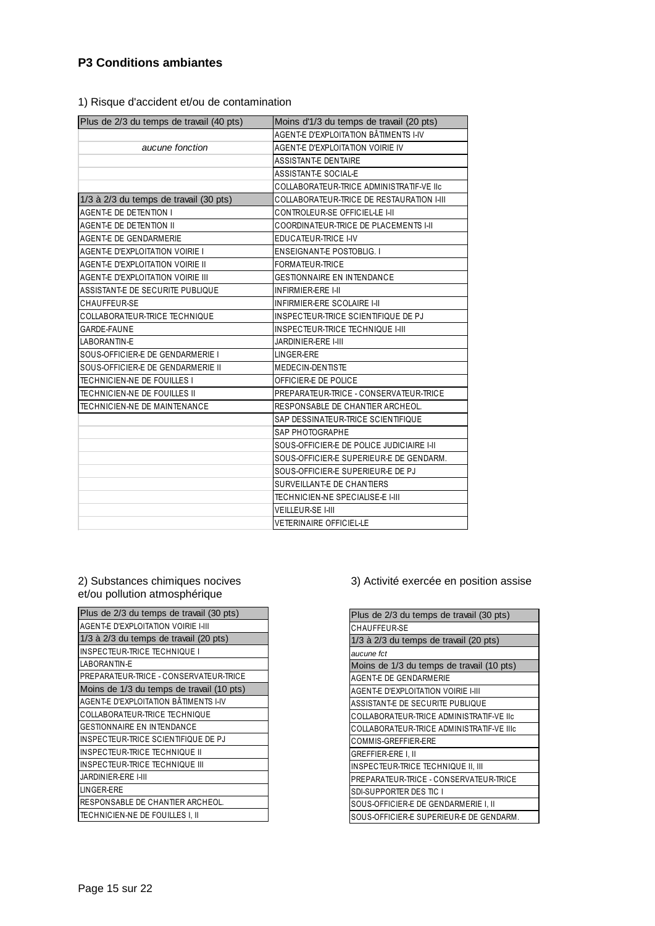### **P3 Conditions ambiantes**

#### 1) Risque d'accident et/ou de contamination

| Plus de 2/3 du temps de travail (40 pts) | Moins d'1/3 du temps de travail (20 pts)     |  |  |  |  |
|------------------------------------------|----------------------------------------------|--|--|--|--|
|                                          | <b>AGENT-E D'EXPLOITATION BÂTIMENTS I-IV</b> |  |  |  |  |
| aucune fonction                          | <b>AGENT-E D'EXPLOITATION VOIRIE IV</b>      |  |  |  |  |
|                                          | ASSISTANT-E DENTAIRE                         |  |  |  |  |
|                                          | ASSISTANT-E SOCIAL-E                         |  |  |  |  |
|                                          | COLLABORATEUR-TRICE ADMINISTRATIF-VE IIc     |  |  |  |  |
| 1/3 à 2/3 du temps de travail (30 pts)   | COLLABORATEUR-TRICE DE RESTAURATION I-III    |  |  |  |  |
| <b>AGENT-E DE DETENTION I</b>            | CONTROLEUR-SE OFFICIEL-LE I-II               |  |  |  |  |
| AGENT-E DE DETENTION II                  | COORDINATEUR-TRICE DE PLACEMENTS I-II        |  |  |  |  |
| AGENT-E DE GENDARMERIE                   | EDUCATEUR-TRICE I-IV                         |  |  |  |  |
| <b>AGENT-E D'EXPLOITATION VOIRIE I</b>   | <b>ENSEIGNANT-E POSTOBLIG. I</b>             |  |  |  |  |
| <b>AGENT-E D'EXPLOITATION VOIRIE II</b>  | FORMATEUR-TRICE                              |  |  |  |  |
| <b>AGENT-E D'EXPLOITATION VOIRIE III</b> | <b>GESTIONNAIRE EN INTENDANCE</b>            |  |  |  |  |
| ASSISTANT-E DE SECURITE PUBLIQUE         | <b>INFIRMIER-ERE I-II</b>                    |  |  |  |  |
| CHAUFFEUR-SE                             | <b>INFIRMIER-ERE SCOLAIRE I-II</b>           |  |  |  |  |
| COLLABORATEUR-TRICE TECHNIQUE            | INSPECTEUR-TRICE SCIENTIFIQUE DE PJ          |  |  |  |  |
| GARDE-FAUNE                              | INSPECTEUR-TRICE TECHNIQUE I-III             |  |  |  |  |
| LABORANTIN-E                             | JARDINIER-ERE I-III                          |  |  |  |  |
| SOUS-OFFICIER-E DE GENDARMERIE I         | LINGER-ERE                                   |  |  |  |  |
| SOUS-OFFICIER-E DE GENDARMERIE II        | MEDECIN-DENTISTE                             |  |  |  |  |
| TECHNICIEN-NE DE FOUILLES I              | OFFICIER-E DE POLICE                         |  |  |  |  |
| TECHNICIEN-NE DE FOUILLES II             | PREPARATEUR-TRICE - CONSERVATEUR-TRICE       |  |  |  |  |
| TECHNICIEN-NE DE MAINTENANCE             | RESPONSABLE DE CHANTIER ARCHEOL.             |  |  |  |  |
|                                          | SAP DESSINATEUR-TRICE SCIENTIFIQUE           |  |  |  |  |
|                                          | SAP PHOTOGRAPHE                              |  |  |  |  |
|                                          | SOUS-OFFICIER-E DE POLICE JUDICIAIRE I-II    |  |  |  |  |
|                                          | SOUS-OFFICIER-E SUPERIEUR-E DE GENDARM.      |  |  |  |  |
|                                          | SOUS-OFFICIER-E SUPERIEUR-E DE PJ            |  |  |  |  |
|                                          | SURVEILLANT-E DE CHANTIERS                   |  |  |  |  |
|                                          | TECHNICIEN-NE SPECIALISE-E I-III             |  |  |  |  |
|                                          | VEILLEUR-SE I-III                            |  |  |  |  |
|                                          | <b>VETERINAIRE OFFICIEL-LE</b>               |  |  |  |  |

## 2) Substances chimiques nocives<br>et/ou pollution atmosphérique

| Plus de 2/3 du temps de travail (30 pts)   |
|--------------------------------------------|
| <b>AGENT-E D'EXPLOITATION VOIRIE I-III</b> |
| 1/3 à 2/3 du temps de travail (20 pts)     |
| INSPECTEUR-TRICE TECHNIQUE I               |
| LABORANTIN-E                               |
| PREPARATEUR-TRICE - CONSERVATEUR-TRICE     |
| Moins de 1/3 du temps de travail (10 pts)  |
| AGENT-E D'EXPLOITATION BÂTIMENTS I-IV      |
| COLLABORATEUR-TRICE TECHNIQUE              |
| <b>GESTIONNAIRE EN INTENDANCE</b>          |
| INSPECTEUR-TRICE SCIENTIFIQUE DE PJ        |
| INSPECTEUR-TRICE TECHNIQUE II              |
| INSPECTEUR-TRICE TECHNIQUE III             |
| <b>JARDINIER-ERE I-III</b>                 |
| LINGER-ERE                                 |
| RESPONSABLE DE CHANTIER ARCHEOL.           |
| TECHNICIEN-NE DE FOUILLES I, II            |

3) Activité exercée en position assise

| Plus de 2/3 du temps de travail (30 pts)  |  |  |  |  |  |
|-------------------------------------------|--|--|--|--|--|
| <b>CHAUFFEUR-SE</b>                       |  |  |  |  |  |
| 1/3 à 2/3 du temps de travail (20 pts)    |  |  |  |  |  |
| aucune fct                                |  |  |  |  |  |
| Moins de 1/3 du temps de travail (10 pts) |  |  |  |  |  |
| AGENT-E DE GENDARMERIE                    |  |  |  |  |  |
| AGENT-E D'EXPLOITATION VOIRIE I-III       |  |  |  |  |  |
| ASSISTANT-E DE SECURITE PUBLIQUE          |  |  |  |  |  |
| COLLABORATEUR-TRICE ADMINISTRATIF-VE IIc  |  |  |  |  |  |
| COLLABORATEUR-TRICE ADMINISTRATIF-VE IIIc |  |  |  |  |  |
| COMMIS-GREFFIER-ERE                       |  |  |  |  |  |
| GREFFIER-ERE I, II                        |  |  |  |  |  |
| INSPECTEUR-TRICE TECHNIQUE II, III        |  |  |  |  |  |
| PREPARATEUR-TRICE - CONSERVATEUR-TRICE    |  |  |  |  |  |
| SDI-SUPPORTER DES TIC I                   |  |  |  |  |  |
| SOUS-OFFICIER-E DE GENDARMERIE I, II      |  |  |  |  |  |
| SOUS-OFFICIER-E SUPERIEUR-E DE GENDARM.   |  |  |  |  |  |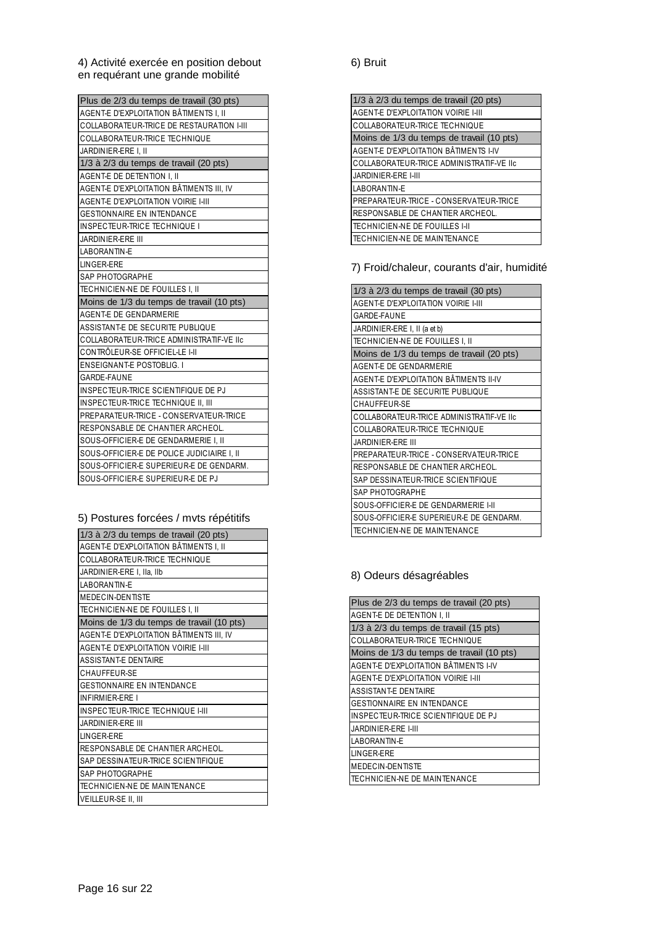4) Activité exercée en position debout 6) Bruit en requérant une grande mobilité

| Plus de 2/3 du temps de travail (30 pts)   |
|--------------------------------------------|
| AGENT-E D'EXPLOITATION BÂTIMENTS I, II     |
| COLLABORATEUR-TRICE DE RESTAURATION I-III  |
| COLLABORATEUR-TRICE TECHNIQUE              |
| JARDINIER-ERE I, II                        |
| 1/3 à 2/3 du temps de travail (20 pts)     |
| AGENT-E DE DETENTION I, II                 |
| AGENT-E D'EXPLOITATION BÂTIMENTS III, IV   |
| <b>AGENT-E D'EXPLOITATION VOIRIE I-III</b> |
| <b>GESTIONNAIRE EN INTENDANCE</b>          |
| INSPECTEUR-TRICE TECHNIQUE I               |
| <b>JARDINIER-ERE III</b>                   |
| LABORANTIN-E                               |
| LINGER-ERE                                 |
| SAP PHOTOGRAPHE                            |
| TECHNICIEN-NE DE FOUILLES I, II            |
| Moins de 1/3 du temps de travail (10 pts)  |
| AGENT-E DE GENDARMERIE                     |
| ASSISTANT-E DE SECURITE PUBLIQUE           |
| COLLABORATEUR-TRICE ADMINISTRATIF-VE IIc   |
| CONTRÔLEUR-SE OFFICIEL-LE I-II             |
| <b>ENSEIGNANT-E POSTOBLIG. I</b>           |
| <b>GARDE-FAUNE</b>                         |
| INSPECTEUR-TRICE SCIENTIFIQUE DE PJ        |
| INSPECTEUR-TRICE TECHNIQUE II, III         |
| PREPARATEUR-TRICE - CONSERVATEUR-TRICE     |
| RESPONSABLE DE CHANTIER ARCHEOL.           |
| SOUS-OFFICIER-E DE GENDARMERIE I, II       |
| SOUS-OFFICIER-E DE POLICE JUDICIAIRE I, II |
| SOUS-OFFICIER-E SUPERIEUR-E DE GENDARM.    |
| SOUS-OFFICIER-E SUPERIEUR-E DE PJ          |

#### 5) Postures forcées / mvts répétitifs

| 1/3 à 2/3 du temps de travail (20 pts)     |
|--------------------------------------------|
| AGENT-E D'EXPLOITATION BÂTIMENTS I, II     |
| COLLABORATEUR-TRICE TECHNIQUE              |
| JARDINIER-ERE I, IIa, IIb                  |
| <b>I ARORANTIN-F</b>                       |
| MEDECIN-DENTISTE                           |
| TECHNICIEN-NE DE FOUILLES I, II            |
| Moins de 1/3 du temps de travail (10 pts)  |
| AGENT-E D'EXPLOITATION BÂTIMENTS III, IV   |
| <b>AGENT-E D'EXPLOITATION VOIRIE I-III</b> |
| ASSISTANT-F DENTAIRE                       |
| CHAUFFEUR-SE                               |
| <b>GESTIONNAIRE EN INTENDANCE</b>          |
| <b>INFIRMIFR-FRF I</b>                     |
| INSPECTEUR-TRICE TECHNIQUE I-III           |
| <b>JARDINIER-ERE III</b>                   |
| <b>IINGFR-FRF</b>                          |
| RESPONSABLE DE CHANTIER ARCHEOL.           |
| SAP DESSINATEUR-TRICE SCIENTIFIQUE         |
| SAP PHOTOGRAPHE                            |
| <b>TECHNICIEN-NE DE MAINTENANCE</b>        |
| VEILLEUR-SE II, III                        |

| 1/3 à 2/3 du temps de travail (20 pts)     |
|--------------------------------------------|
| <b>AGENT-E D'EXPLOITATION VOIRIE I-III</b> |
| COLLABORATEUR-TRICE TECHNIQUE              |
| Moins de 1/3 du temps de travail (10 pts)  |
| AGENT-E D'EXPLOITATION BÂTIMENTS I-IV      |
| COLLABORATEUR-TRICE ADMINISTRATIF-VE IIc   |
| JARDINIER-ERE I-III                        |
| LABORANTIN-E                               |
| PREPARATEUR-TRICE - CONSERVATEUR-TRICE     |
| RESPONSABLE DE CHANTIER ARCHEOL.           |
| TECHNICIEN-NE DE FOUILLES I-II             |
| TECHNICIEN-NE DE MAINTENANCE               |

#### 7) Froid/chaleur, courants d'air, humidité

| 1/3 à 2/3 du temps de travail (30 pts)     |
|--------------------------------------------|
| <b>AGENT-E D'EXPLOITATION VOIRIE I-III</b> |
| <b>GARDE-FAUNE</b>                         |
| JARDINIER-ERE I, II (a et b)               |
| TECHNICIEN-NE DE FOUILLES I, II            |
| Moins de 1/3 du temps de travail (20 pts)  |
| AGENT-E DE GENDARMERIE                     |
| AGENT-E D'EXPLOITATION BÂTIMENTS II-IV     |
| ASSISTANT-E DE SECURITE PUBLIQUE           |
| CHAUFFEUR-SE                               |
| COLLABORATEUR-TRICE ADMINISTRATIF-VE IIc   |
| COLLABORATEUR-TRICE TECHNIQUE              |
| <b>JARDINIER-ERE III</b>                   |
| PREPARATEUR-TRICE - CONSERVATEUR-TRICE     |
| RESPONSABLE DE CHANTIER ARCHEOL            |
| SAP DESSINATEUR-TRICE SCIENTIFIQUE         |
| SAP PHOTOGRAPHE                            |
| SOUS-OFFICIER-E DE GENDARMERIE I-II        |
| SOUS-OFFICIER-E SUPERIEUR-E DE GENDARM.    |
| <b>TECHNICIEN-NE DE MAINTENANCE</b>        |

#### 8) Odeurs désagréables

| Plus de 2/3 du temps de travail (20 pts)  |
|-------------------------------------------|
| AGENT-E DE DETENTION I, II                |
| 1/3 à 2/3 du temps de travail (15 pts)    |
| COLLABORATEUR-TRICE TECHNIQUE             |
| Moins de 1/3 du temps de travail (10 pts) |
| AGENT-E D'EXPLOITATION BÂTIMENTS I-IV     |
| AGENT-E D'EXPLOITATION VOIRIE I-III       |
| ASSISTANT-E DENTAIRE                      |
| <b>GESTIONNAIRE EN INTENDANCE</b>         |
| INSPECTEUR-TRICE SCIENTIFIQUE DE PJ       |
| <b>JARDINIER-ERE I-III</b>                |
| LABORANTIN-E                              |
| LINGER-ERE                                |
| <b>MEDECIN-DENTISTE</b>                   |
| TECHNICIEN-NE DE MAINTENANCE              |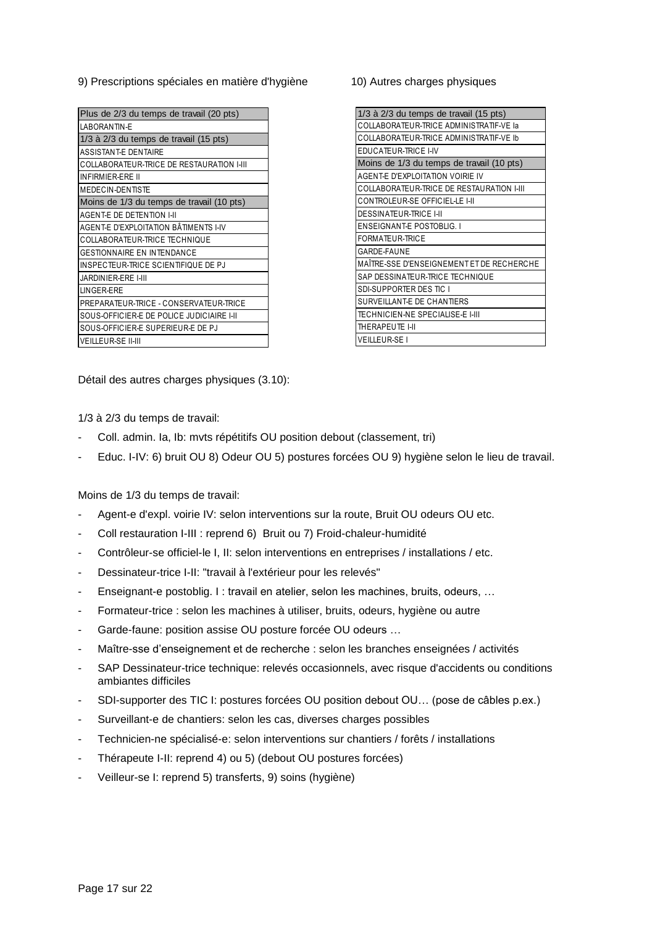9) Prescriptions spéciales en matière d'hygiène 10) Autres charges physiques

| Plus de 2/3 du temps de travail (20 pts)         |
|--------------------------------------------------|
| LABORANTIN-E                                     |
| 1/3 à 2/3 du temps de travail (15 pts)           |
| <b>ASSISTANT-F DENTAIRE</b>                      |
| <b>COLLABORATEUR-TRICE DE RESTAURATION I-III</b> |
| <b>INFIRMIER-ERE II</b>                          |
| MEDECIN-DENTISTE                                 |
| Moins de 1/3 du temps de travail (10 pts)        |
| <b>AGENT-E DE DETENTION I-II</b>                 |
| AGENT-E D'EXPLOITATION BÂTIMENTS I-IV            |
| COLLABORATEUR-TRICE TECHNIQUE                    |
| <b>GESTIONNAIRE EN INTENDANCE</b>                |
| INSPECTEUR-TRICE SCIENTIFIQUE DE PJ              |
| JARDINIFR-FRF I-III                              |
| <b>INGER-FRE</b>                                 |
| PREPARATEUR-TRICE - CONSERVATEUR-TRICE           |
| SOUS-OFFICIER-E DE POLICE JUDICIAIRE I-II        |
| SOUS-OFFICIER-E SUPERIEUR-E DE PJ                |
| <b>VEILLEUR-SE II-III</b>                        |
|                                                  |

| 1/3 à 2/3 du temps de travail (15 pts)    |
|-------------------------------------------|
| COLLABORATEUR-TRICE ADMINISTRATIF-VE la   |
| COLLABORATEUR-TRICE ADMINISTRATIF-VE Ib   |
| <b>EDUCATEUR-TRICE I-IV</b>               |
| Moins de 1/3 du temps de travail (10 pts) |
| <b>AGENT-E D'EXPLOITATION VOIRIE IV</b>   |
| COLLABORATEUR-TRICE DE RESTAURATION I-III |
| CONTROLEUR-SE OFFICIEL-LE I-II            |
| <b>DESSINATEUR-TRICE I-II</b>             |
| <b>ENSEIGNANT-E POSTOBLIG. I</b>          |
| <b>FORMATEUR-TRICE</b>                    |
| <b>GARDE-FAUNE</b>                        |
| MAÎTRE-SSE D'ENSEIGNEMENT ET DE RECHERCHE |
| SAP DESSINATEUR-TRICE TECHNIQUE           |
| SDI-SUPPORTER DES TIC I                   |
| SURVEILLANT-E DE CHANTIERS                |
| <b>TECHNICIEN-NE SPECIALISE-E I-III</b>   |
| THERAPEUTE I-II                           |
| <b>VEILLEUR-SE I</b>                      |

Détail des autres charges physiques (3.10):

1/3 à 2/3 du temps de travail:

- Coll. admin. Ia, Ib: mvts répétitifs OU position debout (classement, tri)
- Educ. I-IV: 6) bruit OU 8) Odeur OU 5) postures forcées OU 9) hygiène selon le lieu de travail.

Moins de 1/3 du temps de travail:

- Agent-e d'expl. voirie IV: selon interventions sur la route, Bruit OU odeurs OU etc.
- Coll restauration I-III : reprend 6) Bruit ou 7) Froid-chaleur-humidité
- Contrôleur-se officiel-le I, II: selon interventions en entreprises / installations / etc.
- Dessinateur-trice I-II: "travail à l'extérieur pour les relevés"
- Enseignant-e postoblig. I : travail en atelier, selon les machines, bruits, odeurs, ...
- Formateur-trice : selon les machines à utiliser, bruits, odeurs, hygiène ou autre
- Garde-faune: position assise OU posture forcée OU odeurs ...
- Maître-sse d'enseignement et de recherche : selon les branches enseignées / activités
- SAP Dessinateur-trice technique: relevés occasionnels, avec risque d'accidents ou conditions ambiantes difficiles
- SDI-supporter des TIC I: postures forcées OU position debout OU… (pose de câbles p.ex.)
- Surveillant-e de chantiers: selon les cas, diverses charges possibles
- Technicien-ne spécialisé-e: selon interventions sur chantiers / forêts / installations
- Thérapeute I-II: reprend 4) ou 5) (debout OU postures forcées)
- Veilleur-se I: reprend 5) transferts, 9) soins (hygiène)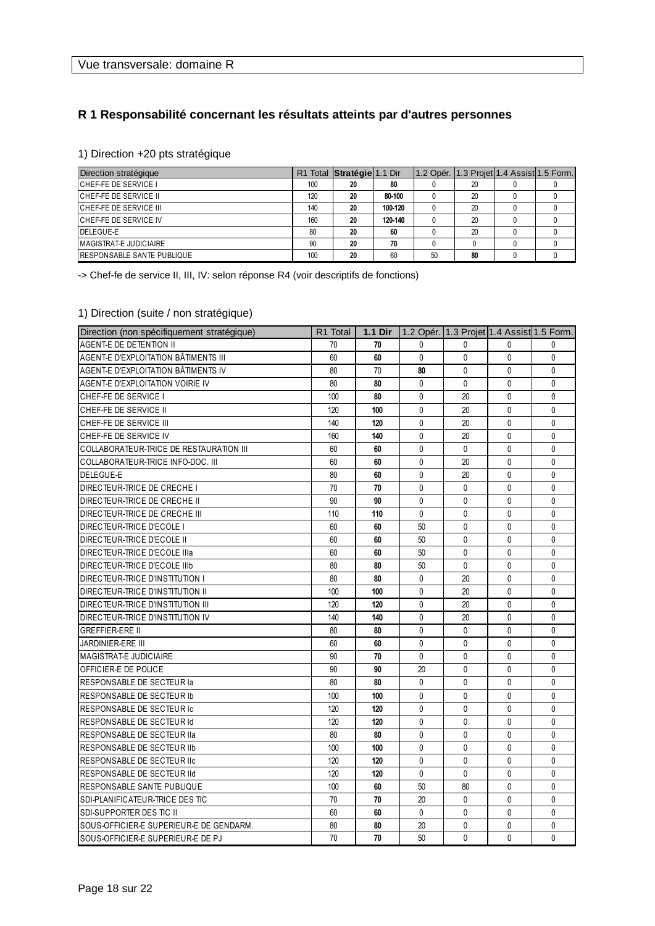#### **R 1 Responsabilité concernant les résultats atteints par d'autres personnes**

#### 1) Direction +20 pts stratégique

| Direction stratégique             |     | R1 Total Stratégie 1.1 Dir |         |     | 1.2 Opér. 1.3 Projet 1.4 Assist 1.5 Form. |  |
|-----------------------------------|-----|----------------------------|---------|-----|-------------------------------------------|--|
| <b>CHEF-FE DE SERVICE I</b>       | 100 | 20                         | 80      |     | 20                                        |  |
| <b>CHEF-FE DE SERVICE II</b>      | 120 | 20                         | 80-100  |     | 20                                        |  |
| <b>CHEF-FE DE SERVICE III</b>     | 140 | 20                         | 100-120 |     | 20                                        |  |
| <b>CHEF-FE DE SERVICE IV</b>      | 160 | 20                         | 120-140 |     | 20                                        |  |
| <b>IDELEGUE-E</b>                 | 80  | 20                         | 60      |     | 20                                        |  |
| MAGISTRAT-E JUDICIAIRE            | 90  | 20                         | 70      |     |                                           |  |
| <b>RESPONSABLE SANTE PUBLIQUE</b> | 100 | 20                         | 60      | -50 | 80                                        |  |

-> Chef-fe de service II, III, IV: selon réponse R4 (voir descriptifs de fonctions)

#### 1) Direction (suite / non stratégique)

| Direction (non spécifiquement stratégique) | R1 Total | 1.1 Dir |              | 1.2 Opér. 1.3 Projet 1.4 Assist 1.5 Form. |              |              |
|--------------------------------------------|----------|---------|--------------|-------------------------------------------|--------------|--------------|
| <b>AGENT-E DE DETENTION II</b>             | 70       | 70      | $\Omega$     | $\Omega$                                  | <sup>0</sup> | <sup>0</sup> |
| AGENT-E D'EXPLOITATION BÂTIMENTS III       | 60       | 60      | 0            | $\mathbf{0}$                              | 0            | $\mathbf{0}$ |
| AGENT-E D'EXPLOITATION BÂTIMENTS IV        | 80       | 70      | 80           | $\mathbf{0}$                              | $\Omega$     | $\Omega$     |
| <b>AGENT-E D'EXPLOITATION VOIRIE IV</b>    | 80       | 80      | 0            | $\mathbf{0}$                              | $\mathbf{0}$ | 0            |
| CHEF-FE DE SERVICE I                       | 100      | 80      | $\Omega$     | 20                                        | 0            | $\Omega$     |
| CHEF-FE DE SERVICE II                      | 120      | 100     | 0            | 20                                        | 0            | 0            |
| CHEF-FE DE SERVICE III                     | 140      | 120     | 0            | 20                                        | $\Omega$     | $\Omega$     |
| CHEF-FE DE SERVICE IV                      | 160      | 140     | 0            | 20                                        | $\mathbf{0}$ | 0            |
| COLLABORATEUR-TRICE DE RESTAURATION III    | 60       | 60      | $\Omega$     | $\Omega$                                  | 0            | $\Omega$     |
| COLLABORATEUR-TRICE INFO-DOC. III          | 60       | 60      | 0            | 20                                        | 0            | $\mathbf{0}$ |
| DELEGUE-E                                  | 80       | 60      | 0            | 20                                        | $\mathbf{0}$ | $\mathbf{0}$ |
| DIRECTEUR-TRICE DE CRECHE I                | 70       | 70      | 0            | $\mathbf{0}$                              | $\mathbf{0}$ | 0            |
| DIRECTEUR-TRICE DE CRECHE II               | 90       | 90      | 0            | 0                                         | 0            | 0            |
| DIRECTEUR-TRICE DE CRECHE III              | 110      | 110     | 0            | $\mathbf{0}$                              | 0            | 0            |
| DIRECTEUR-TRICE D'ECOLE I                  | 60       | 60      | 50           | 0                                         | $\mathbf{0}$ | 0            |
| DIRECTEUR-TRICE D'ECOLE II                 | 60       | 60      | 50           | $\mathbf{0}$                              | $\mathbf{0}$ | 0            |
| DIRECTEUR-TRICE D'ECOLE IIIa               | 60       | 60      | 50           | 0                                         | 0            | $\mathbf{0}$ |
| DIRECTEUR-TRICE D'ECOLE IIIb               | 80       | 80      | 50           | $\mathbf{0}$                              | 0            | 0            |
| DIRECTEUR-TRICE D'INSTITUTION I            | 80       | 80      | $\mathbf{0}$ | 20                                        | $\mathbf{0}$ | $\mathbf{0}$ |
| DIRECTEUR-TRICE D'INSTITUTION II           | 100      | 100     | 0            | 20                                        | $\mathbf{0}$ | 0            |
| DIRECTEUR-TRICE D'INSTITUTION III          | 120      | 120     | 0            | 20                                        | 0            | $\mathbf{0}$ |
| DIRECTEUR-TRICE D'INSTITUTION IV           | 140      | 140     | 0            | 20                                        | $\mathbf{0}$ | 0            |
| <b>GREFFIER-ERE II</b>                     | 80       | 80      | 0            | $\mathbf{0}$                              | $\mathbf{0}$ | 0            |
| <b>JARDINIER-ERE III</b>                   | 60       | 60      | 0            | $\mathbf{0}$                              | 0            | $\Omega$     |
| MAGISTRAT-E JUDICIAIRE                     | 90       | 70      | $\mathbf{0}$ | $\mathbf{0}$                              | 0            | $\mathbf{0}$ |
| OFFICIER-E DE POLICE                       | 90       | 90      | 20           | $\Omega$                                  | 0            | $\Omega$     |
| RESPONSABLE DE SECTEUR la                  | 80       | 80      | $\mathbf{0}$ | $\mathbf{0}$                              | 0            | $\mathbf{0}$ |
| <b>RESPONSABLE DE SECTEUR Ib</b>           | 100      | 100     | 0            | $\Omega$                                  | 0            | $\Omega$     |
| RESPONSABLE DE SECTEUR IC                  | 120      | 120     | 0            | $\mathbf{0}$                              | 0            | $\Omega$     |
| RESPONSABLE DE SECTEUR Id                  | 120      | 120     | 0            | 0                                         | 0            | 0            |
| RESPONSABLE DE SECTEUR IIa                 | 80       | 80      | 0            | $\mathbf{0}$                              | 0            | $\mathbf{0}$ |
| <b>RESPONSABLE DE SECTEUR IIb</b>          | 100      | 100     | 0            | $\mathbf{0}$                              | 0            | $\mathbf{0}$ |
| RESPONSABLE DE SECTEUR IIc                 | 120      | 120     | $\mathbf{0}$ | 0                                         | 0            | $\mathbf{0}$ |
| RESPONSABLE DE SECTEUR IId                 | 120      | 120     | 0            | $\mathbf{0}$                              | 0            | $\mathbf{0}$ |
| RESPONSABLE SANTE PUBLIQUE                 | 100      | 60      | 50           | 80                                        | 0            | $\mathbf{0}$ |
| SDI-PLANIFICATEUR-TRICE DES TIC            | 70       | 70      | 20           | 0                                         | 0            | 0            |
| SDI-SUPPORTER DES TIC II                   | 60       | 60      | 0            | $\mathbf{0}$                              | 0            | $\Omega$     |
| SOUS-OFFICIER-E SUPERIEUR-E DE GENDARM.    | 80       | 80      | 20           | 0                                         | 0            | 0            |
| SOUS-OFFICIER-E SUPERIEUR-E DE PJ          | 70       | 70      | 50           | $\Omega$                                  | $\mathbf{0}$ | $\mathbf{0}$ |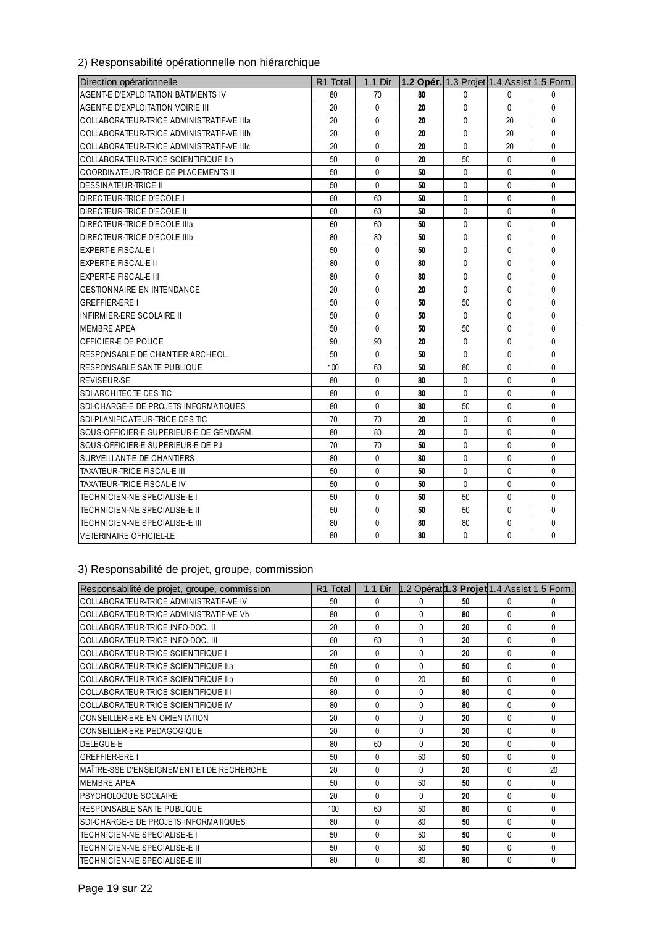#### 2) Responsabilité opérationnelle non hiérarchique

| Direction opérationnelle                  | R1 Total | 1.1 Dir      |    |              | 1.2 Opér. 1.3 Projet 1.4 Assist 1.5 Form. |              |
|-------------------------------------------|----------|--------------|----|--------------|-------------------------------------------|--------------|
| AGENT-E D'EXPLOITATION BÂTIMENTS IV       | 80       | 70           | 80 | $\Omega$     | $\Omega$                                  | $\Omega$     |
| <b>AGENT-E D'EXPLOITATION VOIRIE III</b>  | 20       | $\mathbf{0}$ | 20 | $\mathbf{0}$ | $\mathbf{0}$                              | $\mathbf{0}$ |
| COLLABORATEUR-TRICE ADMINISTRATIF-VE IIIa | 20       | $\Omega$     | 20 | $\Omega$     | 20                                        | $\Omega$     |
| COLLABORATEUR-TRICE ADMINISTRATIF-VE IIIb | 20       | $\mathbf{0}$ | 20 | $\mathbf{0}$ | 20                                        | 0            |
| COLLABORATEUR-TRICE ADMINISTRATIF-VE IIIc | 20       | $\Omega$     | 20 | $\Omega$     | 20                                        | $\Omega$     |
| COLLABORATEUR-TRICE SCIENTIFIQUE IIb      | 50       | 0            | 20 | 50           | 0                                         | 0            |
| COORDINATEUR-TRICE DE PLACEMENTS II       | 50       | $\Omega$     | 50 | $\Omega$     | $\Omega$                                  | $\Omega$     |
| <b>DESSINATEUR-TRICE II</b>               | 50       | 0            | 50 | $\mathbf{0}$ | 0                                         | $\mathbf{0}$ |
| DIRECTEUR-TRICE D'ECOLE I                 | 60       | 60           | 50 | $\mathbf{0}$ | 0                                         | $\Omega$     |
| DIRECTEUR-TRICE D'ECOLE II                | 60       | 60           | 50 | $\mathbf{0}$ | 0                                         | 0            |
| DIRECTEUR-TRICE D'ECOLE IIIa              | 60       | 60           | 50 | $\mathbf{0}$ | 0                                         | $\Omega$     |
| DIRECTEUR-TRICE D'ECOLE IIIb              | 80       | 80           | 50 | $\mathbf{0}$ | $\mathbf{0}$                              | 0            |
| EXPERT-E FISCAL-E I                       | 50       | $\mathbf{0}$ | 50 | $\mathbf{0}$ | $\mathbf{0}$                              | $\Omega$     |
| EXPERT-E FISCAL-E II                      | 80       | 0            | 80 | $\mathbf{0}$ | 0                                         | $\Omega$     |
| EXPERT-E FISCAL-E III                     | 80       | 0            | 80 | $\mathbf{0}$ | 0                                         | 0            |
| <b>GESTIONNAIRE EN INTENDANCE</b>         | 20       | 0            | 20 | $\mathbf{0}$ | $\Omega$                                  | $\Omega$     |
| <b>GREFFIER-ERE I</b>                     | 50       | 0            | 50 | 50           | 0                                         | 0            |
| INFIRMIER-ERE SCOLAIRE II                 | 50       | $\mathbf{0}$ | 50 | $\mathbf{0}$ | $\mathbf{0}$                              | $\Omega$     |
| <b>MEMBRE APEA</b>                        | 50       | 0            | 50 | 50           | 0                                         | 0            |
| OFFICIER-E DE POLICE                      | 90       | 90           | 20 | $\mathbf{0}$ | 0                                         | $\Omega$     |
| RESPONSABLE DE CHANTIER ARCHEOL.          | 50       | 0            | 50 | $\mathbf{0}$ | 0                                         | $\mathbf{0}$ |
| RESPONSABLE SANTE PUBLIQUE                | 100      | 60           | 50 | 80           | 0                                         | $\mathbf{0}$ |
| REVISEUR-SE                               | 80       | $\mathbf{0}$ | 80 | $\mathbf{0}$ | 0                                         | $\mathbf{0}$ |
| SDI-ARCHITECTE DES TIC                    | 80       | 0            | 80 | $\mathbf{0}$ | 0                                         | 0            |
| SDI-CHARGE-E DE PROJETS INFORMATIQUES     | 80       | $\mathbf{0}$ | 80 | 50           | $\mathbf{0}$                              | 0            |
| SDI-PLANIFICATEUR-TRICE DES TIC           | 70       | 70           | 20 | $\mathbf{0}$ | $\mathbf{0}$                              | 0            |
| SOUS-OFFICIER-E SUPERIEUR-E DE GENDARM.   | 80       | 80           | 20 | $\Omega$     | $\Omega$                                  | $\Omega$     |
| SOUS-OFFICIER-E SUPERIEUR-E DE PJ         | 70       | 70           | 50 | $\mathbf{0}$ | $\mathbf{0}$                              | 0            |
| SURVEILLANT-E DE CHANTIERS                | 80       | 0            | 80 | $\mathbf{0}$ | 0                                         | 0            |
| TAXATEUR-TRICE FISCAL-E III               | 50       | 0            | 50 | $\mathbf{0}$ | 0                                         | 0            |
| TAXATEUR-TRICE FISCAL-E IV                | 50       | $\mathbf{0}$ | 50 | $\mathbf{0}$ | $\Omega$                                  | $\Omega$     |
| TECHNICIEN-NE SPECIALISE-E I              | 50       | 0            | 50 | 50           | 0                                         | 0            |
| TECHNICIEN-NE SPECIALISE-E II             | 50       | $\mathbf{0}$ | 50 | 50           | $\mathbf{0}$                              | $\Omega$     |
| TECHNICIEN-NE SPECIALISE-E III            | 80       | 0            | 80 | 80           | 0                                         | 0            |
| <b>VETERINAIRE OFFICIEL-LE</b>            | 80       | 0            | 80 | $\Omega$     | $\Omega$                                  | $\Omega$     |

#### 3) Responsabilité de projet, groupe, commission

| Responsabilité de projet, groupe, commission | R <sub>1</sub> Total | $1.1$ Dir | 1.2 Opérat 1.3 Projet 1.4 Assist 1.5 Form. |    |              |              |
|----------------------------------------------|----------------------|-----------|--------------------------------------------|----|--------------|--------------|
| COLLABORATEUR-TRICE ADMINISTRATIF-VE IV      | 50                   | $\Omega$  | $\Omega$                                   | 50 | <sup>0</sup> | 0            |
| COLLABORATEUR-TRICE ADMINISTRATIF-VE Vb      | 80                   | $\Omega$  | 0                                          | 80 | 0            | 0            |
| COLLABORATEUR-TRICE INFO-DOC. II             | 20                   | 0         | $\mathbf{0}$                               | 20 | $\Omega$     | 0            |
| COLLABORATEUR-TRICE INFO-DOC. III            | 60                   | 60        | $\mathbf{0}$                               | 20 | $\Omega$     | 0            |
| COLLABORATEUR-TRICE SCIENTIFIQUE I           | 20                   | 0         | $\mathbf{0}$                               | 20 | $\Omega$     | 0            |
| COLLABORATEUR-TRICE SCIENTIFIQUE IIa         | 50                   | 0         | $\mathbf{0}$                               | 50 | $\Omega$     | 0            |
| COLLABORATEUR-TRICE SCIENTIFIQUE IIb         | 50                   | 0         | 20                                         | 50 | $\Omega$     | 0            |
| COLLABORATEUR-TRICE SCIENTIFIQUE III         | 80                   | 0         | 0                                          | 80 | $\Omega$     | 0            |
| COLLABORATEUR-TRICE SCIENTIFIQUE IV          | 80                   | 0         | 0                                          | 80 | $\Omega$     | 0            |
| CONSEILLER-ERE EN ORIENTATION                | 20                   | 0         | $\mathbf{0}$                               | 20 | $\Omega$     | 0            |
| CONSEILLER-ERE PEDAGOGIQUE                   | 20                   | $\Omega$  | $\mathbf{0}$                               | 20 | $\Omega$     | 0            |
| DELEGUE-E                                    | 80                   | 60        | $\Omega$                                   | 20 | $\Omega$     | $\mathbf{0}$ |
| <b>GREFFIER-ERE I</b>                        | 50                   | 0         | 50                                         | 50 | $\Omega$     | 0            |
| MAÎTRE-SSE D'ENSEIGNEMENT ET DE RECHERCHE    | 20                   | 0         | 0                                          | 20 | $\Omega$     | 20           |
| <b>MEMBRE APEA</b>                           | 50                   | 0         | 50                                         | 50 | $\Omega$     | 0            |
| <b>PSYCHOLOGUE SCOLAIRE</b>                  | 20                   | $\Omega$  | 0                                          | 20 | $\Omega$     | $\Omega$     |
| <b>RESPONSABLE SANTE PUBLIQUE</b>            | 100                  | 60        | 50                                         | 80 | $\Omega$     | 0            |
| SDI-CHARGE-E DE PROJETS INFORMATIQUES        | 80                   | 0         | 80                                         | 50 | 0            | 0            |
| TECHNICIEN-NE SPECIALISE-E I                 | 50                   | 0         | 50                                         | 50 | $\Omega$     | $\Omega$     |
| TECHNICIEN-NE SPECIALISE-E II                | 50                   | 0         | 50                                         | 50 | $\Omega$     | 0            |
| TECHNICIEN-NE SPECIALISE-E III               | 80                   | U         | 80                                         | 80 | $\Omega$     | 0            |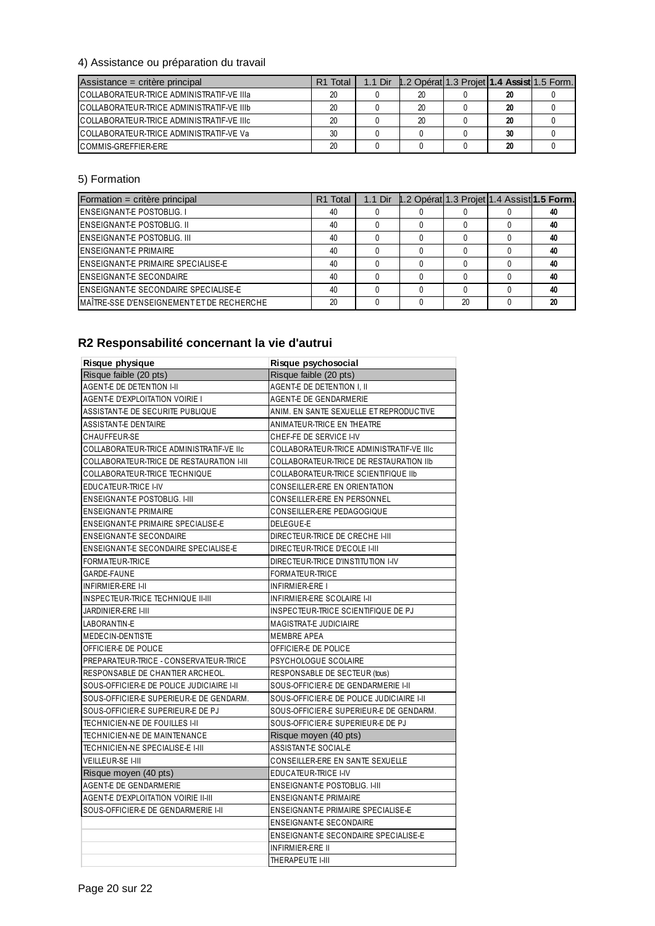#### 4) Assistance ou préparation du travail

| Assistance = critère principal            | R <sub>1</sub> Total | 1.1 Dir | 1.2 Opérat 1.3 Projet $1.4$ Assist 1.5 Form. |    |  |
|-------------------------------------------|----------------------|---------|----------------------------------------------|----|--|
| COLLABORATEUR-TRICE ADMINISTRATIF-VE IIIa | 20                   |         | 20                                           | 20 |  |
| COLLABORATEUR-TRICE ADMINISTRATIF-VE IIIb | 20                   |         | 20                                           | 20 |  |
| COLLABORATEUR-TRICE ADMINISTRATIF-VE IIIc | 20                   |         | 20                                           | 20 |  |
| ICOLLABORATEUR-TRICE ADMINISTRATIF-VE Va  | 30                   |         |                                              | 30 |  |
| COMMIS-GREFFIER-ERE                       | 20                   |         |                                              | 20 |  |

#### 5) Formation

| Formation = critère principal                | R <sub>1</sub> Total | 1.1 Dir | 1.2 Opérat 1.3 Projet 1.4 Assist 1.5 Form. |    |    |
|----------------------------------------------|----------------------|---------|--------------------------------------------|----|----|
| <b>ENSEIGNANT-E POSTOBLIG. I</b>             | 40                   |         |                                            |    | 40 |
| <b>ENSEIGNANT-E POSTOBLIG. II</b>            | 40                   |         |                                            |    | 40 |
| <b>ENSEIGNANT-E POSTOBLIG. III</b>           | 40                   |         |                                            |    | 40 |
| <b>ENSEIGNANT-E PRIMAIRE</b>                 | 40                   |         |                                            |    | 40 |
| <b>IENSEIGNANT-E PRIMAIRE SPECIALISE-E</b>   | 40                   |         |                                            |    | 40 |
| <b>ENSEIGNANT-E SECONDAIRE</b>               | 40                   |         |                                            |    | 40 |
| <b>IENSEIGNANT-E SECONDAIRE SPECIALISE-E</b> | 40                   |         |                                            |    | 40 |
| IMAÎTRE-SSE D'ENSEIGNEMENT ET DE RECHERCHE   | 20                   |         |                                            | 20 | 20 |

#### **R2 Responsabilité concernant la vie d'autrui**

| Risque physique                           | Risque psychosocial                       |
|-------------------------------------------|-------------------------------------------|
| Risque faible (20 pts)                    | Risque faible (20 pts)                    |
| AGENT-E DE DETENTION I-II                 | AGENT-E DE DETENTION I, II                |
| AGENT-E D'EXPLOITATION VOIRIE I           | AGENT-E DE GENDARMERIE                    |
| ASSISTANT-E DE SECURITE PUBLIQUE          | ANIM. EN SANTE SEXUELLE ET REPRODUCTIVE   |
| ASSISTANT-E DENTAIRE                      | ANIMATEUR-TRICE EN THEATRE                |
| CHAUFFEUR-SE                              | CHEF-FE DE SERVICE I-IV                   |
| COLLABORATEUR-TRICE ADMINISTRATIF-VE IIc  | COLLABORATEUR-TRICE ADMINISTRATIF-VE IIIc |
| COLLABORATEUR-TRICE DE RESTAURATION I-III | COLLABORATEUR-TRICE DE RESTAURATION IIb   |
| COLLABORATEUR-TRICE TECHNIQUE             | COLLABORATEUR-TRICE SCIENTIFIQUE IIb      |
| EDUCATEUR-TRICE I-IV                      | CONSEILLER-ERE EN ORIENTATION             |
| ENSEIGNANT-E POSTOBLIG. I-III             | CONSEILLER-ERE EN PERSONNEL               |
| <b>ENSEIGNANT-E PRIMAIRE</b>              | CONSEILLER-ERE PEDAGOGIQUE                |
| <b>ENSEIGNANT-E PRIMAIRE SPECIALISE-E</b> | DELEGUE-E                                 |
| ENSEIGNANT-E SECONDAIRE                   | DIRECTEUR-TRICE DE CRECHE I-III           |
| ENSEIGNANT-E SECONDAIRE SPECIALISE-E      | DIRECTEUR-TRICE D'ECOLE I-III             |
| FORMATEUR-TRICE                           | DIRECTEUR-TRICE D'INSTITUTION I-IV        |
| <b>GARDE-FAUNE</b>                        | FORMATEUR-TRICE                           |
| INFIRMIER-ERE I-II                        | INFIRMIER-ERE I                           |
| INSPECTEUR-TRICE TECHNIQUE II-III         | INFIRMIER-ERE SCOLAIRE I-II               |
| JARDINIER-ERE I-III                       | INSPECTEUR-TRICE SCIENTIFIQUE DE PJ       |
| LABORANTIN-E                              | MAGISTRAT-E JUDICIAIRE                    |
| MEDECIN-DENTISTE                          | <b>MEMBRE APEA</b>                        |
| OFFICIER-E DE POLICE                      | OFFICIER-E DE POLICE                      |
| PREPARATEUR-TRICE - CONSERVATEUR-TRICE    | PSYCHOLOGUE SCOLAIRE                      |
| RESPONSABLE DE CHANTIER ARCHEOL.          | RESPONSABLE DE SECTEUR (tous)             |
| SOUS-OFFICIER-E DE POLICE JUDICIAIRE I-II | SOUS-OFFICIER-E DE GENDARMERIE I-II       |
| SOUS-OFFICIER-E SUPERIEUR-E DE GENDARM.   | SOUS-OFFICIER-E DE POLICE JUDICIAIRE I-II |
| SOUS-OFFICIER-E SUPERIEUR-E DE PJ         | SOUS-OFFICIER-E SUPERIEUR-E DE GENDARM.   |
| TECHNICIEN-NE DE FOUILLES I-II            | SOUS-OFFICIER-E SUPERIEUR-E DE PJ         |
| TECHNICIEN-NE DE MAINTENANCE              | Risque moyen (40 pts)                     |
| TECHNICIEN-NE SPECIALISE-E I-III          | ASSISTANT-E SOCIAL-E                      |
| VEILLEUR-SE I-III                         | CONSEILLER-ERE EN SANTE SEXUELLE          |
| Risque moyen (40 pts)                     | EDUCATEUR-TRICE I-IV                      |
| AGENT-E DE GENDARMERIE                    | <b>ENSEIGNANT-E POSTOBLIG. I-III</b>      |
| AGENT-E D'EXPLOITATION VOIRIE II-III      | <b>ENSEIGNANT-E PRIMAIRE</b>              |
| SOUS-OFFICIER-E DE GENDARMERIE I-II       | ENSEIGNANT-E PRIMAIRE SPECIALISE-E        |
|                                           | ENSEIGNANT-E SECONDAIRE                   |
|                                           | ENSEIGNANT-E SECONDAIRE SPECIALISE-E      |
|                                           | <b>INFIRMIER-ERE II</b>                   |
|                                           | THERAPEUTE I-III                          |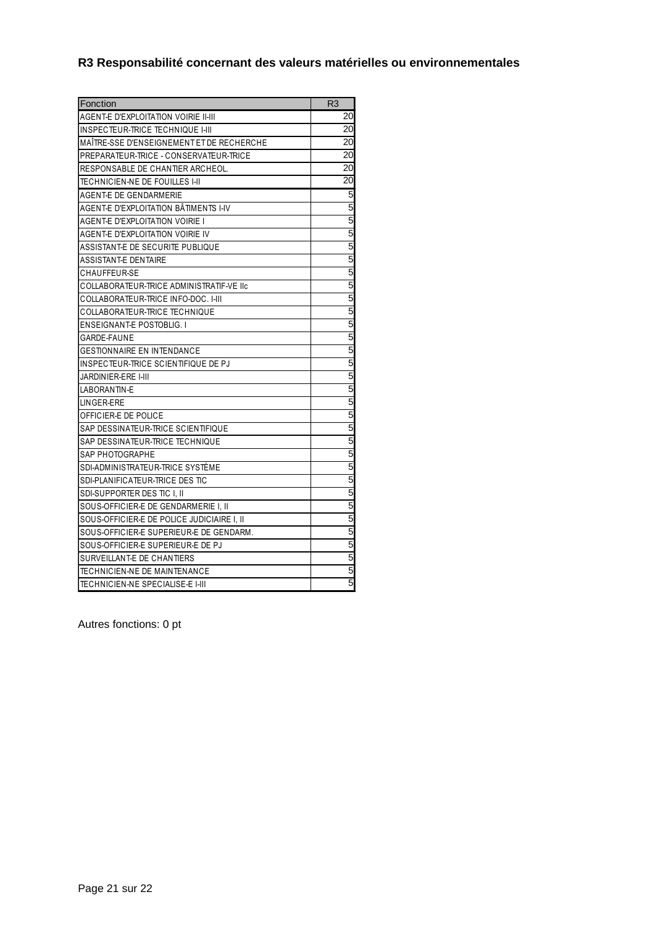### **R3 Responsabilité concernant des valeurs matérielles ou environnementales**

| Fonction                                   | R <sub>3</sub> |
|--------------------------------------------|----------------|
| AGENT-E D'EXPLOITATION VOIRIE II-III       | 20             |
| INSPECTEUR-TRICE TECHNIQUE I-III           | 20             |
| MAÎTRE-SSE D'ENSEIGNEMENT ET DE RECHERCHE  | 20             |
| PREPARATEUR-TRICE - CONSERVATEUR-TRICE     | 20             |
| RESPONSABLE DE CHANTIER ARCHEOL.           | 20             |
| TECHNICIEN-NE DE FOUILLES I-II             | 20             |
| AGENT-E DE GENDARMERIE                     | 5              |
| AGENT-E D'EXPLOITATION BÄTIMENTS I-IV      | 5              |
| AGENT-E D'EXPLOITATION VOIRIE I            | $\overline{5}$ |
| AGENT-E D'EXPLOITATION VOIRIE IV           | 5              |
| ASSISTANT-E DE SECURITE PUBLIQUE           | 5              |
| ASSISTANT-E DENTAIRE                       | 5              |
| CHAUFFEUR-SE                               | 5              |
| COLLABORATEUR-TRICE ADMINISTRATIF-VE IIc   | 5              |
| COLLABORATEUR-TRICE INFO-DOC. I-III        | 5              |
| COLLABORATEUR-TRICE TECHNIQUE              | 5              |
| ENSEIGNANT-E POSTOBLIG. I                  | 5              |
| <b>GARDE-FAUNE</b>                         | 5              |
| GESTIONNAIRE EN INTENDANCE                 | 5              |
| INSPECTEUR-TRICE SCIENTIFIQUE DE PJ        | 5              |
| <b>JARDINIER-ERE I-III</b>                 | 5              |
| LABORANTIN-E                               | 5              |
| LINGER-ERE                                 | $\overline{5}$ |
| OFFICIER-E DE POLICE                       | 5              |
| SAP DESSINATEUR-TRICE SCIENTIFIQUE         | 5              |
| SAP DESSINATEUR-TRICE TECHNIQUE            | 5              |
| SAP PHOTOGRAPHE                            | 5              |
| SDI-ADMINISTRATEUR-TRICE SYSTEME           | $\overline{5}$ |
| SDI-PLANIFICATEUR-TRICE DES TIC            | 5              |
| SDI-SUPPORTER DES TIC I, II                | $\overline{5}$ |
| SOUS-OFFICIER-E DE GENDARMERIE I, II       | 5              |
| SOUS-OFFICIER-E DE POLICE JUDICIAIRE I, II | 5              |
| SOUS-OFFICIER-E SUPERIEUR-E DE GENDARM.    | 5              |
| SOUS-OFFICIER-E SUPERIEUR-E DE PJ          | $\overline{5}$ |
| SURVEILLANT-E DE CHANTIERS                 | 5              |
| TECHNICIEN-NE DE MAINTENANCE               | 5              |
| <b>TECHNICIEN-NE SPECIALISE-E I-III</b>    | $\overline{5}$ |

Autres fonctions: 0 pt